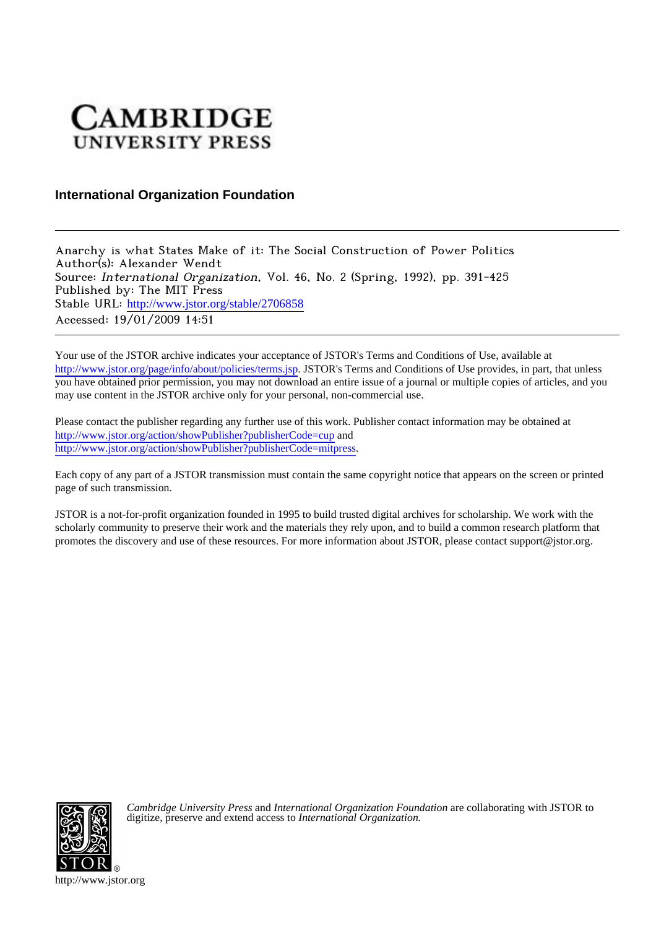# **CAMBRIDGE UNIVERSITY PRESS**

# **International Organization Foundation**

Anarchy is what States Make of it: The Social Construction of Power Politics Author(s): Alexander Wendt Source: International Organization, Vol. 46, No. 2 (Spring, 1992), pp. 391-425 Published by: The MIT Press Stable URL: [http://www.jstor.org/stable/2706858](http://www.jstor.org/stable/2706858?origin=JSTOR-pdf) Accessed: 19/01/2009 14:51

Your use of the JSTOR archive indicates your acceptance of JSTOR's Terms and Conditions of Use, available at <http://www.jstor.org/page/info/about/policies/terms.jsp>. JSTOR's Terms and Conditions of Use provides, in part, that unless you have obtained prior permission, you may not download an entire issue of a journal or multiple copies of articles, and you may use content in the JSTOR archive only for your personal, non-commercial use.

Please contact the publisher regarding any further use of this work. Publisher contact information may be obtained at <http://www.jstor.org/action/showPublisher?publisherCode=cup> and [http://www.jstor.org/action/showPublisher?publisherCode=mitpress.](http://www.jstor.org/action/showPublisher?publisherCode=mitpress)

Each copy of any part of a JSTOR transmission must contain the same copyright notice that appears on the screen or printed page of such transmission.

JSTOR is a not-for-profit organization founded in 1995 to build trusted digital archives for scholarship. We work with the scholarly community to preserve their work and the materials they rely upon, and to build a common research platform that promotes the discovery and use of these resources. For more information about JSTOR, please contact support@jstor.org.



*Cambridge University Press* and *International Organization Foundation* are collaborating with JSTOR to digitize, preserve and extend access to *International Organization.*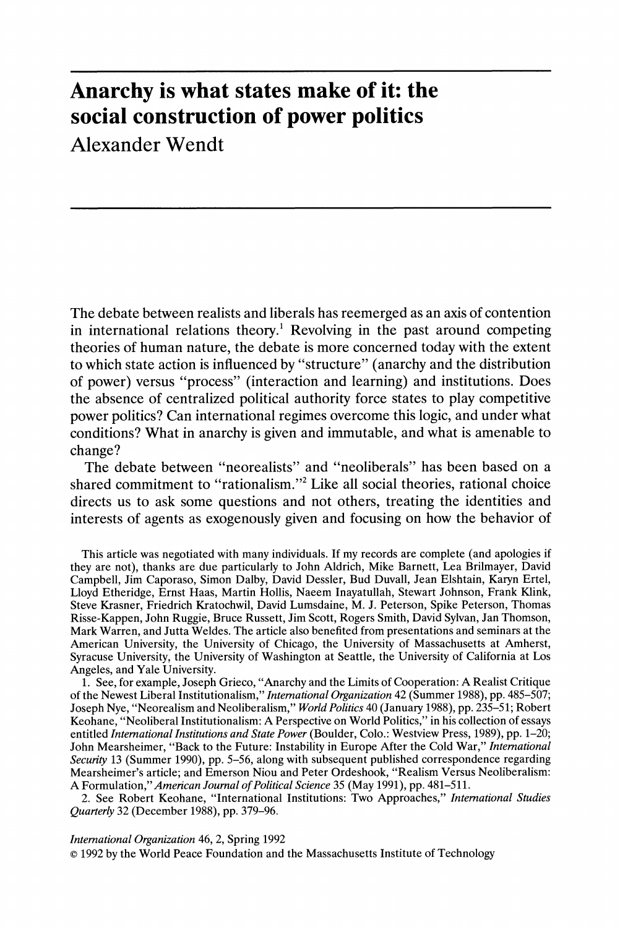# Anarchy is what states make of it: the social construction of power politics

Alexander Wendt

The debate between realists and liberals has reemerged as an axis of contention in international relations theory.<sup>1</sup> Revolving in the past around competing theories of human nature, the debate is more concerned today with the extent to which state action is influenced by "structure" (anarchy and the distribution of power) versus "process" (interaction and learning) and institutions. Does the absence of centralized political authority force states to play competitive power politics? Can international regimes overcome this logic, and under what conditions? What in anarchy is given and immutable, and what is amenable to change?

The debate between "neorealists" and "neoliberals" has been based on a shared commitment to "rationalism."<sup>2</sup> Like all social theories, rational choice directs us to ask some questions and not others, treating the identities and interests of agents as exogenously given and focusing on how the behavior of

This article was negotiated with many individuals. If my records are complete (and apologies if they are not), thanks are due particularly to John Aldrich, Mike Barnett, Lea Brilmayer, David Campbell, Jim Caporaso, Simon Dalby, David Dessler, Bud Duvall, Jean Elshtain, Karyn Ertel, Lloyd Etheridge, Ernst Haas, Martin Hollis, Naeem Inayatullah, Stewart Johnson, Frank Klink, Steve Krasner, Friedrich Kratochwil, David Lumsdaine, M. J. Peterson, Spike Peterson, Thomas Risse-Kappen, John Ruggie, Bruce Russett, Jim Scott, Rogers Smith, David Sylvan, Jan Thomson, Mark Warren, and Jutta Weldes. The article also benefited from presentations and seminars at the American University, the University of Chicago, the University of Massachusetts at Amherst, Syracuse University, the University of Washington at Seattle, the University of California at Los Angeles, and Yale University.

1. See, for example, Joseph Grieco, "Anarchy and the Limits of Cooperation: A Realist Critique of the Newest Liberal Institutionalism," International Organization 42 (Summer 1988), pp. 485-507; Joseph Nye, "Neorealism and Neoliberalism," World Politics 40 (January 1988), pp. 235–51; Robert Keohane, "Neoliberal Institutionalism: A Perspective on World Politics," in his collection of essays entitled International Institutions and State Power (Boulder, Colo.: Westview Press, 1989), pp. 1-20; John Mearsheimer, "Back to the Future: Instability in Europe After the Cold War," International Security 13 (Summer 1990), pp. 5-56, along with subsequent published correspondence regarding Mearsheimer's article; and Emerson Niou and Peter Ordeshook, "Realism Versus Neoliberalism: A Formulation," American Journal of Political Science 35 (May 1991), pp. 481-511.

2. See Robert Keohane, "International Institutions: Two Approaches," International Studies Quarterly 32 (December 1988), pp. 379-96.

#### International Organization 46, 2, Spring 1992

@ 1992 by the World Peace Foundation and the Massachusetts Institute of Technology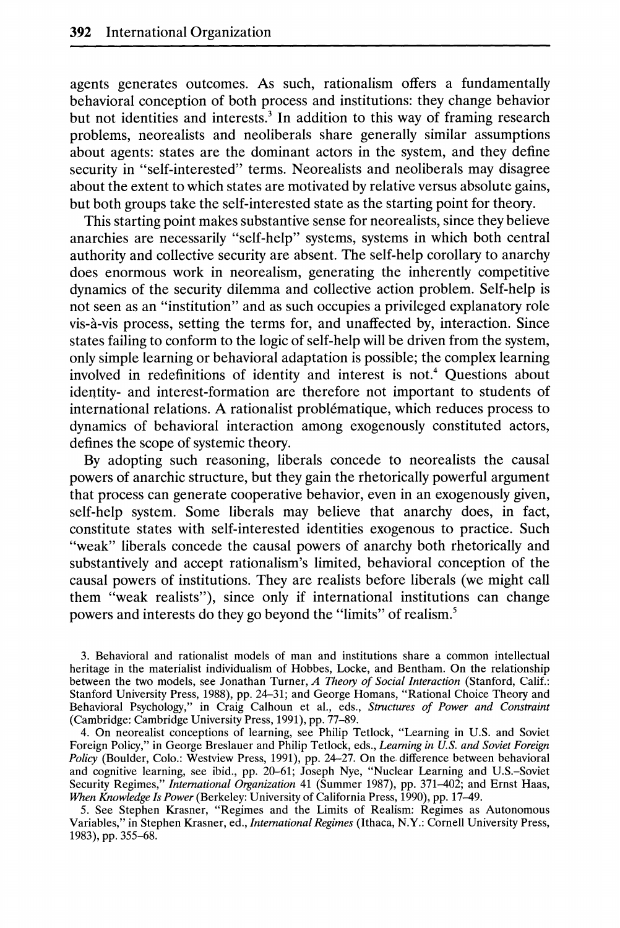agents generates outcomes. As such, rationalism offers a fundamentally behavioral conception of both process and institutions: they change behavior but not identities and interests.<sup>3</sup> In addition to this way of framing research problems, neorealists and neoliberals share generally similar assumptions about agents: states are the dominant actors in the system, and they define security in "self-interested" terms. Neorealists and neoliberals may disagree about the extent to which states are motivated by relative versus absolute gains, but both groups take the self-interested state as the starting point for theory.

This starting point makes substantive sense for neorealists, since they believe anarchies are necessarily "self-help" systems, systems in which both central authority and collective security are absent. The self-help corollary to anarchy does enormous work in neorealism, generating the inherently competitive dynamics of the security dilemma and collective action problem. Self-help is not seen as an "institution" and as such occupies a privileged explanatory role vis-à-vis process, setting the terms for, and unaffected by, interaction. Since states failing to conform to the logic of self-help will be driven from the system, only simple learning or behavioral adaptation is possible; the complex learning involved in redefinitions of identity and interest is not.<sup>4</sup> Questions about identity- and interest-formation are therefore not important to students of international relations. A rationalist problématique, which reduces process to dynamics of behavioral interaction among exogenously constituted actors, defines the scope of systemic theory.

By adopting such reasoning, liberals concede to neorealists the causal powers of anarchic structure, but they gain the rhetorically powerful argument that process can generate cooperative behavior, even in an exogenously given, self-help system. Some liberals may believe that anarchy does, in fact, constitute states with self-interested identities exogenous to practice. Such "weak" liberals concede the causal powers of anarchy both rhetorically and substantively and accept rationalism's limited, behavioral conception of the causal powers of institutions. They are realists before liberals (we might call them "weak realists"), since only if international institutions can change powers and interests do they go beyond the "limits" of realism.<sup>5</sup>

3. Behavioral and rationalist models of man and institutions share a common intellectual heritage in the materialist individualism of Hobbes, Locke, and Bentham. On the relationship between the two models, see Jonathan Turner, A Theory of Social Interaction (Stanford, Calif.: Stanford University Press, 1988), pp. 24–31; and George Homans, "Rational Choice Theory and Behavioral Psychology," in Craig Calhoun et al., eds., Structures of Power and Constraint (Cambridge: Cambridge University Press, 1991), pp. 77–89.

4. On neorealist conceptions of learning, see Philip Tetlock, "Learning in U.S. and Soviet Foreign Policy," in George Breslauer and Philip Tetlock, eds., Learning in U.S. and Soviet Foreign Policy (Boulder, Colo.: Westview Press, 1991), pp. 24-27. On the difference between behavioral and cognitive learning, see ibid., pp. 20–61; Joseph Nye, "Nuclear Learning and U.S.-Soviet Security Regimes," *International Organization* 41 (Summer 1987), pp. 371–402; and Ernst Haas, When Knowledge Is Power (Berkeley: University of California Press, 1990), pp. 17-49.

5. See Stephen Krasner, "Regimes and the Limits of Realism: Regimes as Autonomous Variables," in Stephen Krasner, ed., *International Regimes* (Ithaca, N.Y.: Cornell University Press, 1983), pp. 355–68.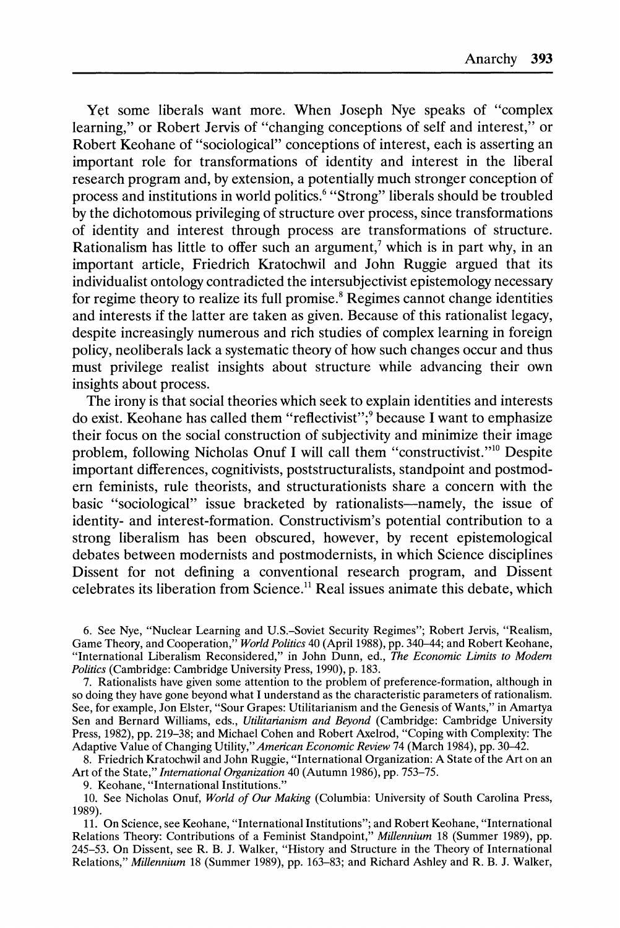Yet some liberals want more. When Joseph Nye speaks of "complex" learning," or Robert Jervis of "changing conceptions of self and interest," or Robert Keohane of "sociological" conceptions of interest, each is asserting an important role for transformations of identity and interest in the liberal research program and, by extension, a potentially much stronger conception of process and institutions in world politics.<sup>6</sup> "Strong" liberals should be troubled by the dichotomous privileging of structure over process, since transformations of identity and interest through process are transformations of structure. Rationalism has little to offer such an argument,<sup>7</sup> which is in part why, in an important article. Friedrich Kratochwil and John Ruggie argued that its individualist ontology contradicted the intersubjectivist epistemology necessary for regime theory to realize its full promise.<sup>8</sup> Regimes cannot change identities and interests if the latter are taken as given. Because of this rationalist legacy, despite increasingly numerous and rich studies of complex learning in foreign policy, neoliberals lack a systematic theory of how such changes occur and thus must privilege realist insights about structure while advancing their own insights about process.

The irony is that social theories which seek to explain identities and interests do exist. Keohane has called them "reflectivist";<sup>9</sup> because I want to emphasize their focus on the social construction of subjectivity and minimize their image problem, following Nicholas Onuf I will call them "constructivist."<sup>10</sup> Despite important differences, cognitivists, poststructuralists, standpoint and postmodern feminists, rule theorists, and structurationists share a concern with the basic "sociological" issue bracketed by rationalists—namely, the issue of identity- and interest-formation. Constructivism's potential contribution to a strong liberalism has been obscured, however, by recent epistemological debates between modernists and postmodernists, in which Science disciplines Dissent for not defining a conventional research program, and Dissent celebrates its liberation from Science.<sup>11</sup> Real issues animate this debate, which

6. See Nye, "Nuclear Learning and U.S.-Soviet Security Regimes"; Robert Jervis, "Realism, Game Theory, and Cooperation," World Politics 40 (April 1988), pp. 340–44; and Robert Keohane, "International Liberalism Reconsidered," in John Dunn, ed., The Economic Limits to Modern Politics (Cambridge: Cambridge University Press, 1990), p. 183.

7. Rationalists have given some attention to the problem of preference-formation, although in so doing they have gone beyond what I understand as the characteristic parameters of rationalism. See, for example, Jon Elster, "Sour Grapes: Utilitarianism and the Genesis of Wants," in Amartya Sen and Bernard Williams, eds., Utilitarianism and Beyond (Cambridge: Cambridge University Press, 1982), pp. 219–38; and Michael Cohen and Robert Axelrod, "Coping with Complexity: The Adaptive Value of Changing Utility," American Economic Review 74 (March 1984), pp. 30–42.<br>8. Friedrich Kratochwil and John Ruggie, "International Organization: A State of the Art on an

Art of the State," International Organization 40 (Autumn 1986), pp. 753-75.<br>9. Keohane, "International Institutions."

10. See Nicholas Onuf, World of Our Making (Columbia: University of South Carolina Press, 1989).

11. On Science, see Keohane, "International Institutions"; and Robert Keohane, "International Relations Theory: Contributions of a Feminist Standpoint," Millennium 18 (Summer 1989), pp. 245-53. On Dissent, see R. B. J. Walker, "History and Structure in the Theory of International Relations," Millennium 18 (Summer 1989), pp. 163-83; and Richard Ashley and R. B. J. Walker,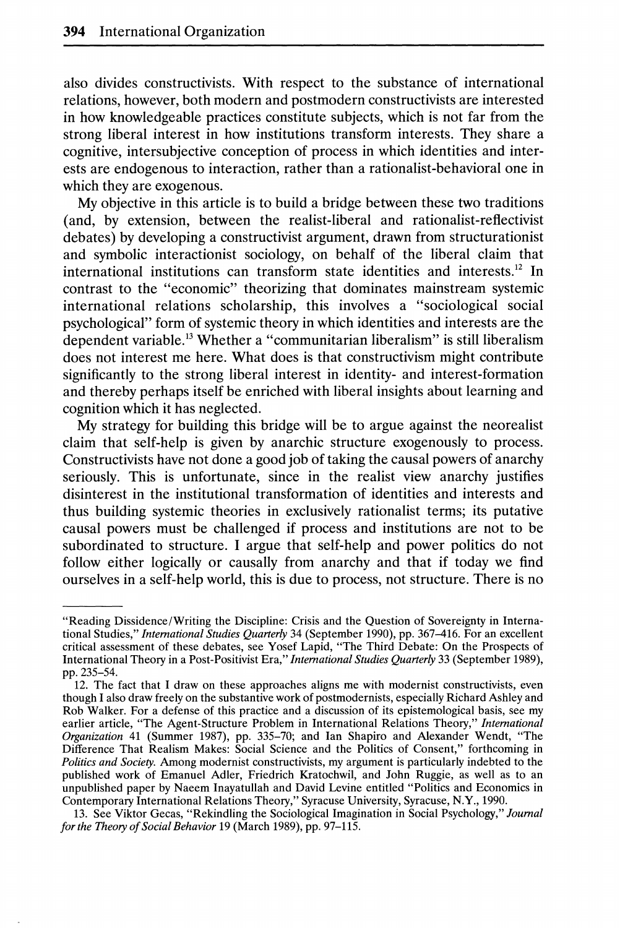also divides constructivists. With respect to the substance of international relations, however, both modern and postmodern constructivists are interested in how knowledgeable practices constitute subjects, which is not far from the strong liberal interest in how institutions transform interests. They share a cognitive, intersubjective conception of process in which identities and interests are endogenous to interaction, rather than a rationalist-behavioral one in which they are exogenous.

My objective in this article is to build a bridge between these two traditions (and, by extension, between the realist-liberal and rationalist-reflectivist debates) by developing a constructivist argument, drawn from structurationist and symbolic interactionist sociology, on behalf of the liberal claim that international institutions can transform state identities and interests.<sup>12</sup> In contrast to the "economic" theorizing that dominates mainstream systemic international relations scholarship, this involves a "sociological social psychological" form of systemic theory in which identities and interests are the dependent variable.<sup>13</sup> Whether a "communitarian liberalism" is still liberalism does not interest me here. What does is that constructivism might contribute significantly to the strong liberal interest in identity- and interest-formation and thereby perhaps itself be enriched with liberal insights about learning and cognition which it has neglected.

My strategy for building this bridge will be to argue against the neorealist claim that self-help is given by anarchic structure exogenously to process. Constructivists have not done a good job of taking the causal powers of anarchy seriously. This is unfortunate, since in the realist view anarchy justifies disinterest in the institutional transformation of identities and interests and thus building systemic theories in exclusively rationalist terms; its putative causal powers must be challenged if process and institutions are not to be subordinated to structure. I argue that self-help and power politics do not follow either logically or causally from anarchy and that if today we find ourselves in a self-help world, this is due to process, not structure. There is no

<sup>&</sup>quot;Reading Dissidence/Writing the Discipline: Crisis and the Question of Sovereignty in International Studies," International Studies Quarterly 34 (September 1990), pp. 367-416. For an excellent critical assessment of these debates, see Yosef Lapid, "The Third Debate: On the Prospects of International Theory in a Post-Positivist Era," International Studies Quarterly 33 (September 1989), pp. 235-54.

<sup>12.</sup> The fact that I draw on these approaches aligns me with modernist constructivists, even though I also draw freely on the substantive work of postmodernists, especially Richard Ashley and Rob Walker. For a defense of this practice and a discussion of its epistemological basis, see my earlier article, "The Agent-Structure Problem in International Relations Theory," International Organization 41 (Summer 1987), pp. 335–70; and Ian Shapiro and Alexander Wendt, "The Difference That Realism Makes: Social Science and the Politics of Consent," forthcoming in Politics and Society. Among modernist constructivists, my argument is particularly indebted to the published work of Emanuel Adler, Friedrich Kratochwil, and John Ruggie, as well as to an unpublished paper by Naeem Inayatullah and David Levine entitled "Politics and Economics in Contemporary International Relations Theory," Syracuse University, Syracuse, N.Y., 1990.

<sup>13.</sup> See Viktor Gecas, "Rekindling the Sociological Imagination in Social Psychology," Journal for the Theory of Social Behavior 19 (March 1989), pp. 97–115.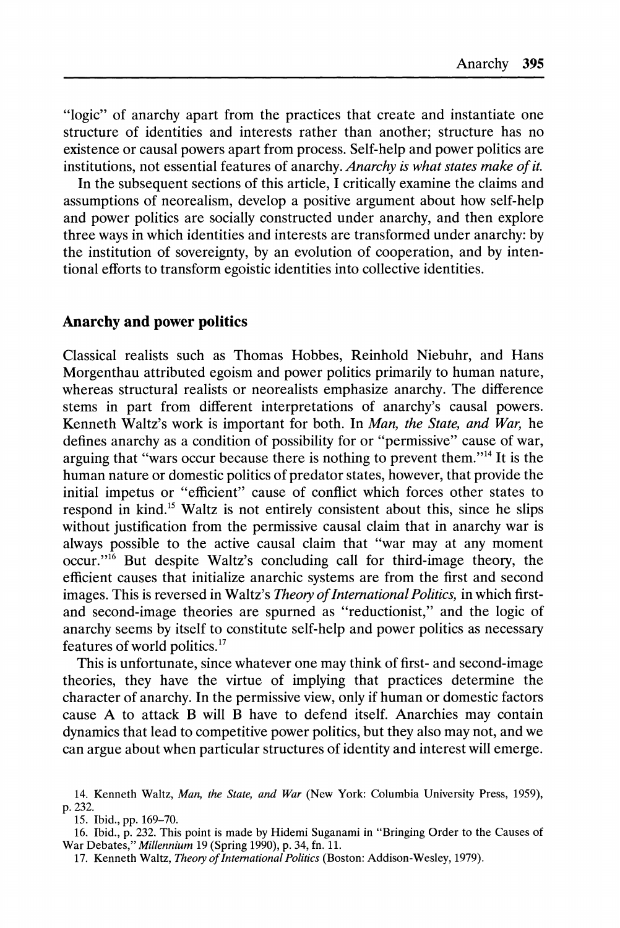"logic" of anarchy apart from the practices that create and instantiate one structure of identities and interests rather than another; structure has no existence or causal powers apart from process. Self-help and power politics are institutions, not essential features of anarchy. Anarchy is what states make of it.

In the subsequent sections of this article, I critically examine the claims and assumptions of neorealism, develop a positive argument about how self-help and power politics are socially constructed under anarchy, and then explore three ways in which identities and interests are transformed under anarchy: by the institution of sovereignty, by an evolution of cooperation, and by intentional efforts to transform egoistic identities into collective identities.

# **Anarchy and power politics**

Classical realists such as Thomas Hobbes, Reinhold Niebuhr, and Hans Morgenthau attributed egoism and power politics primarily to human nature, whereas structural realists or neorealists emphasize anarchy. The difference stems in part from different interpretations of anarchy's causal powers. Kenneth Waltz's work is important for both. In Man, the State, and War, he defines anarchy as a condition of possibility for or "permissive" cause of war, arguing that "wars occur because there is nothing to prevent them."<sup>14</sup> It is the human nature or domestic politics of predator states, however, that provide the initial impetus or "efficient" cause of conflict which forces other states to respond in kind.<sup>15</sup> Waltz is not entirely consistent about this, since he slips without justification from the permissive causal claim that in anarchy war is always possible to the active causal claim that "war may at any moment occur."<sup>16</sup> But despite Waltz's concluding call for third-image theory, the efficient causes that initialize anarchic systems are from the first and second images. This is reversed in Waltz's Theory of International Politics, in which firstand second-image theories are spurned as "reductionist," and the logic of anarchy seems by itself to constitute self-help and power politics as necessary features of world politics.<sup>17</sup>

This is unfortunate, since whatever one may think of first- and second-image theories, they have the virtue of implying that practices determine the character of anarchy. In the permissive view, only if human or domestic factors cause A to attack B will B have to defend itself. Anarchies may contain dynamics that lead to competitive power politics, but they also may not, and we can argue about when particular structures of identity and interest will emerge.

<sup>14.</sup> Kenneth Waltz, Man, the State, and War (New York: Columbia University Press, 1959), p. 232.

<sup>15.</sup> Ibid., pp. 169-70.

<sup>16.</sup> Ibid., p. 232. This point is made by Hidemi Suganami in "Bringing Order to the Causes of War Debates," Millennium 19 (Spring 1990), p. 34, fn. 11.

<sup>17.</sup> Kenneth Waltz, Theory of International Politics (Boston: Addison-Wesley, 1979).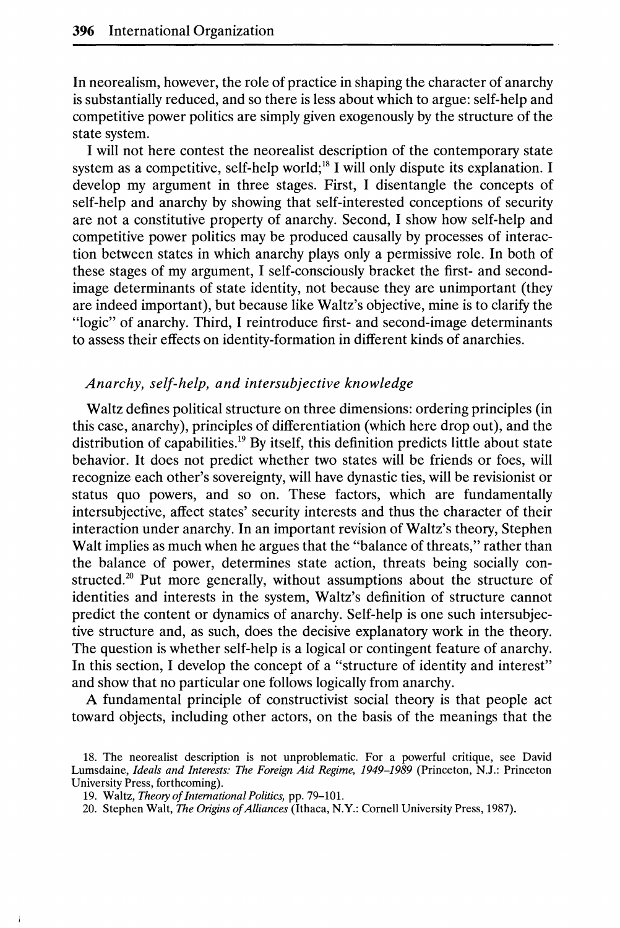In neorealism, however, the role of practice in shaping the character of anarchy is substantially reduced, and so there is less about which to argue: self-help and competitive power politics are simply given exogenously by the structure of the state system.

I will not here contest the neorealist description of the contemporary state system as a competitive, self-help world;<sup>18</sup> I will only dispute its explanation. I develop my argument in three stages. First, I disentangle the concepts of self-help and anarchy by showing that self-interested conceptions of security are not a constitutive property of anarchy. Second, I show how self-help and competitive power politics may be produced causally by processes of interaction between states in which anarchy plays only a permissive role. In both of these stages of my argument, I self-consciously bracket the first- and secondimage determinants of state identity, not because they are unimportant (they are indeed important), but because like Waltz's objective, mine is to clarify the "logic" of anarchy. Third, I reintroduce first- and second-image determinants to assess their effects on identity-formation in different kinds of anarchies.

# Anarchy, self-help, and intersubjective knowledge

Waltz defines political structure on three dimensions: ordering principles (in this case, anarchy), principles of differentiation (which here drop out), and the distribution of capabilities.<sup>19</sup> By itself, this definition predicts little about state behavior. It does not predict whether two states will be friends or foes, will recognize each other's sovereignty, will have dynastic ties, will be revisionist or status quo powers, and so on. These factors, which are fundamentally intersubjective, affect states' security interests and thus the character of their interaction under anarchy. In an important revision of Waltz's theory, Stephen Walt implies as much when he argues that the "balance of threats," rather than the balance of power, determines state action, threats being socially constructed.<sup>20</sup> Put more generally, without assumptions about the structure of identities and interests in the system, Waltz's definition of structure cannot predict the content or dynamics of anarchy. Self-help is one such intersubjective structure and, as such, does the decisive explanatory work in the theory. The question is whether self-help is a logical or contingent feature of anarchy. In this section, I develop the concept of a "structure of identity and interest" and show that no particular one follows logically from anarchy.

A fundamental principle of constructivist social theory is that people act toward objects, including other actors, on the basis of the meanings that the

<sup>18.</sup> The neorealist description is not unproblematic. For a powerful critique, see David Lumsdaine, Ideals and Interests: The Foreign Aid Regime, 1949–1989 (Princeton, N.J.: Princeton University Press, forthcoming).

<sup>19.</sup> Waltz, Theory of International Politics, pp. 79-101.

<sup>20.</sup> Stephen Walt, *The Origins of Alliances* (Ithaca, N.Y.: Cornell University Press, 1987).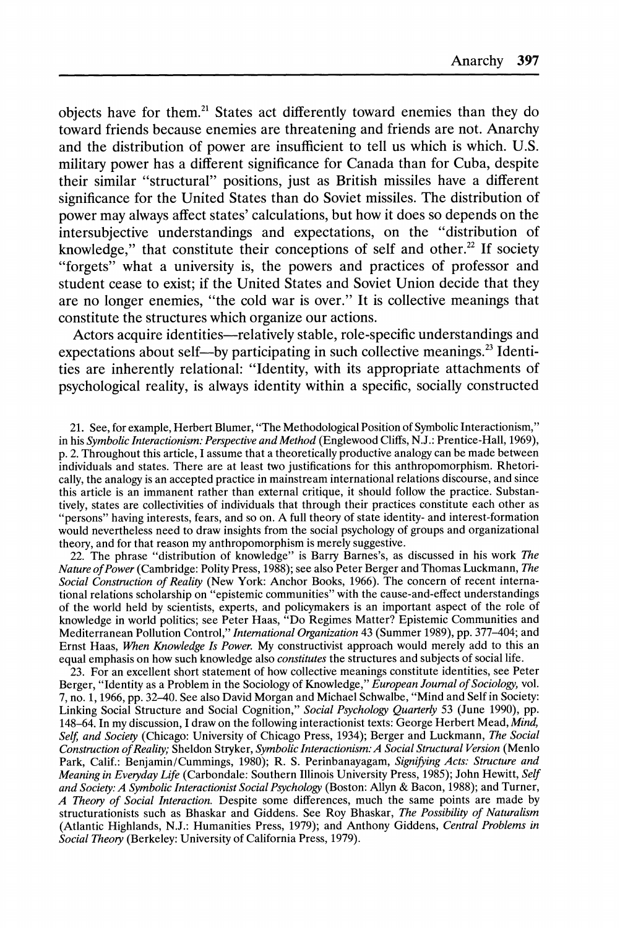objects have for them.<sup>21</sup> States act differently toward enemies than they do toward friends because enemies are threatening and friends are not. Anarchy and the distribution of power are insufficient to tell us which is which. U.S. military power has a different significance for Canada than for Cuba, despite their similar "structural" positions, just as British missiles have a different significance for the United States than do Soviet missiles. The distribution of power may always affect states' calculations, but how it does so depends on the intersubjective understandings and expectations, on the "distribution of knowledge," that constitute their conceptions of self and other.<sup>22</sup> If society "forgets" what a university is, the powers and practices of professor and student cease to exist; if the United States and Soviet Union decide that they are no longer enemies, "the cold war is over." It is collective meanings that constitute the structures which organize our actions.

Actors acquire identities—relatively stable, role-specific understandings and expectations about self—by participating in such collective meanings.<sup>23</sup> Identities are inherently relational: "Identity, with its appropriate attachments of psychological reality, is always identity within a specific, socially constructed

21. See, for example, Herbert Blumer, "The Methodological Position of Symbolic Interactionism," in his Symbolic Interactionism: Perspective and Method (Englewood Cliffs, N.J.: Prentice-Hall, 1969), p. 2. Throughout this article, I assume that a theoretically productive analogy can be made between individuals and states. There are at least two justifications for this anthropomorphism. Rhetorically, the analogy is an accepted practice in mainstream international relations discourse, and since this article is an immanent rather than external critique, it should follow the practice. Substantively, states are collectivities of individuals that through their practices constitute each other as "persons" having interests, fears, and so on. A full theory of state identity- and interest-formation would nevertheless need to draw insights from the social psychology of groups and organizational theory, and for that reason my anthropomorphism is merely suggestive.

22. The phrase "distribution of knowledge" is Barry Barnes's, as discussed in his work The Nature of Power (Cambridge: Polity Press, 1988); see also Peter Berger and Thomas Luckmann, The Social Construction of Reality (New York: Anchor Books, 1966). The concern of recent international relations scholarship on "epistemic communities" with the cause-and-effect understandings of the world held by scientists, experts, and policymakers is an important aspect of the role of knowledge in world politics; see Peter Haas, "Do Regimes Matter? Epistemic Communities and Mediterranean Pollution Control," International Organization 43 (Summer 1989), pp. 377-404; and Ernst Haas, When Knowledge Is Power. My constructivist approach would merely add to this an equal emphasis on how such knowledge also constitutes the structures and subjects of social life.

23. For an excellent short statement of how collective meanings constitute identities, see Peter Berger, "Identity as a Problem in the Sociology of Knowledge," European Journal of Sociology, vol. 7, no. 1, 1966, pp. 32-40. See also David Morgan and Michael Schwalbe, "Mind and Self in Society: Linking Social Structure and Social Cognition," Social Psychology Quarterly 53 (June 1990), pp. 148–64. In my discussion, I draw on the following interactionist texts: George Herbert Mead, Mind, Self, and Society (Chicago: University of Chicago Press, 1934); Berger and Luckmann, The Social Construction of Reality; Sheldon Stryker, Symbolic Interactionism: A Social Structural Version (Menlo Park, Calif.: Benjamin/Cummings, 1980); R. S. Perinbanayagam, Signifying Acts: Structure and Meaning in Everyday Life (Carbondale: Southern Illinois University Press, 1985); John Hewitt, Self and Society: A Symbolic Interactionist Social Psychology (Boston: Allyn & Bacon, 1988); and Turner, A Theory of Social Interaction. Despite some differences, much the same points are made by structurationists such as Bhaskar and Giddens. See Roy Bhaskar, The Possibility of Naturalism (Atlantic Highlands, N.J.: Humanities Press, 1979); and Anthony Giddens, Central Problems in Social Theory (Berkeley: University of California Press, 1979).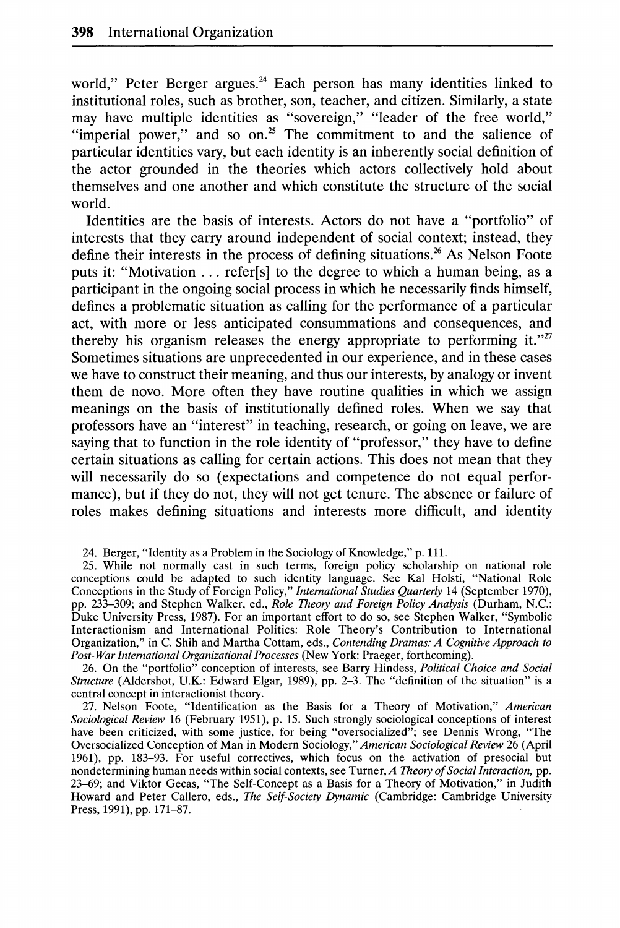world," Peter Berger argues.<sup>24</sup> Each person has many identities linked to institutional roles, such as brother, son, teacher, and citizen. Similarly, a state may have multiple identities as "sovereign," "leader of the free world," "imperial power," and so on.<sup>25</sup> The commitment to and the salience of particular identities vary, but each identity is an inherently social definition of the actor grounded in the theories which actors collectively hold about themselves and one another and which constitute the structure of the social world.

Identities are the basis of interests. Actors do not have a "portfolio" of interests that they carry around independent of social context; instead, they define their interests in the process of defining situations.<sup>26</sup> As Nelson Foote puts it: "Motivation ... refer[s] to the degree to which a human being, as a participant in the ongoing social process in which he necessarily finds himself, defines a problematic situation as calling for the performance of a particular act, with more or less anticipated consummations and consequences, and thereby his organism releases the energy appropriate to performing it."<sup>27</sup> Sometimes situations are unprecedented in our experience, and in these cases we have to construct their meaning, and thus our interests, by analogy or invent them de novo. More often they have routine qualities in which we assign meanings on the basis of institutionally defined roles. When we say that professors have an "interest" in teaching, research, or going on leave, we are saying that to function in the role identity of "professor," they have to define certain situations as calling for certain actions. This does not mean that they will necessarily do so (expectations and competence do not equal performance), but if they do not, they will not get tenure. The absence or failure of roles makes defining situations and interests more difficult, and identity

26. On the "portfolio" conception of interests, see Barry Hindess, *Political Choice and Social Structure* (Aldershot, U.K.: Edward Elgar, 1989), pp. 2–3. The "definition of the situation" is a central concept in interactionist theory.

27. Nelson Foote, "Identification as the Basis for a Theory of Motivation," American Sociological Review 16 (February 1951), p. 15. Such strongly sociological conceptions of interest have been criticized, with some justice, for being "oversocialized"; see Dennis Wrong, "The Oversocialized Conception of Man in Modern Sociology," American Sociological Review 26 (April 1961), pp. 183–93. For useful correctives, which focus on the activation of presocial but nondetermining human needs within social contexts, see Turner, A Theory of Social Interaction, pp. 23–69; and Viktor Gecas, "The Self-Concept as a Basis for a Theory of Motivation," in Judith Howard and Peter Callero, eds., The Self-Society Dynamic (Cambridge: Cambridge University Press, 1991), pp. 171-87.

<sup>24.</sup> Berger, "Identity as a Problem in the Sociology of Knowledge," p. 111.

<sup>25.</sup> While not normally cast in such terms, foreign policy scholarship on national role conceptions could be adapted to such identity language. See Kal Holsti, "National Role Conceptions in the Study of Foreign Policy," International Studies Quarterly 14 (September 1970), pp. 233-309; and Stephen Walker, ed., Role Theory and Foreign Policy Analysis (Durham, N.C.: Duke University Press, 1987). For an important effort to do so, see Stephen Walker, "Symbolic Interactionism and International Politics: Role Theory's Contribution to International Organization," in C. Shih and Martha Cottam, eds., Contending Dramas: A Cognitive Approach to Post-War International Organizational Processes (New York: Praeger, forthcoming).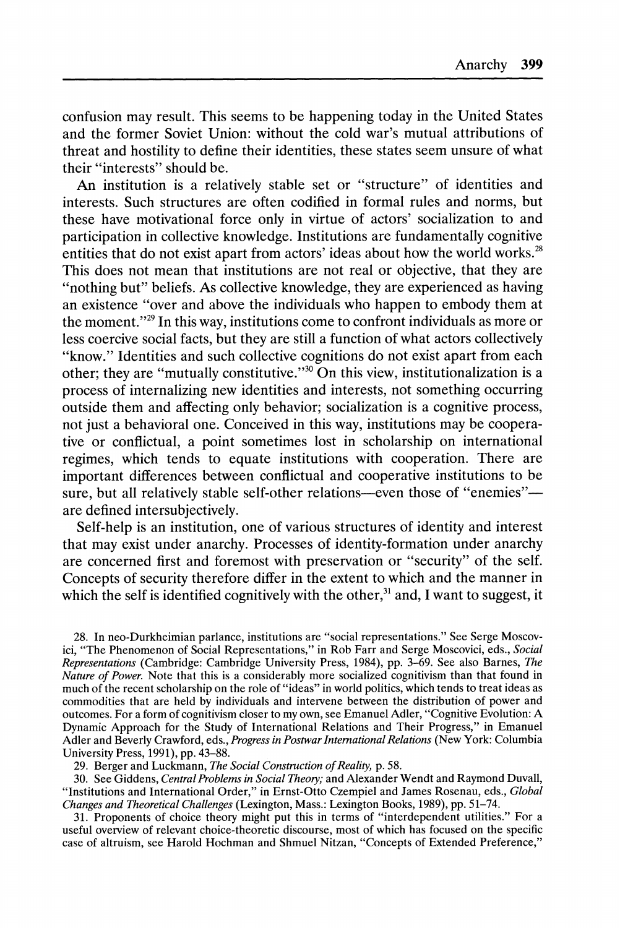confusion may result. This seems to be happening today in the United States and the former Soviet Union: without the cold war's mutual attributions of threat and hostility to define their identities, these states seem unsure of what their "interests" should be.

An institution is a relatively stable set or "structure" of identities and interests. Such structures are often codified in formal rules and norms, but these have motivational force only in virtue of actors' socialization to and participation in collective knowledge. Institutions are fundamentally cognitive entities that do not exist apart from actors' ideas about how the world works.<sup>28</sup> This does not mean that institutions are not real or objective, that they are "nothing but" beliefs. As collective knowledge, they are experienced as having an existence "over and above the individuals who happen to embody them at the moment."<sup>29</sup> In this way, institutions come to confront individuals as more or less coercive social facts, but they are still a function of what actors collectively "know." Identities and such collective cognitions do not exist apart from each other; they are "mutually constitutive."<sup>30</sup> On this view, institutionalization is a process of internalizing new identities and interests, not something occurring outside them and affecting only behavior; socialization is a cognitive process, not just a behavioral one. Conceived in this way, institutions may be cooperative or conflictual, a point sometimes lost in scholarship on international regimes, which tends to equate institutions with cooperation. There are important differences between conflictual and cooperative institutions to be sure, but all relatively stable self-other relations—even those of "enemies" are defined intersubiectively.

Self-help is an institution, one of various structures of identity and interest that may exist under anarchy. Processes of identity-formation under anarchy are concerned first and foremost with preservation or "security" of the self. Concepts of security therefore differ in the extent to which and the manner in which the self is identified cognitively with the other, $31$  and, I want to suggest, it

28. In neo-Durkheimian parlance, institutions are "social representations." See Serge Moscovici, "The Phenomenon of Social Representations," in Rob Farr and Serge Moscovici, eds., Social Representations (Cambridge: Cambridge University Press, 1984), pp. 3-69. See also Barnes, The Nature of Power. Note that this is a considerably more socialized cognitivism than that found in<br>much of the recent scholarship on the role of "ideas" in world politics, which tends to treat ideas as commodities that are held by individuals and intervene between the distribution of power and outcomes. For a form of cognitivism closer to my own, see Emanuel Adler, "Cognitive Evolution: A Dynamic Approach for the Study of International Relations and Their Progress," in Emanuel Adler and Beverly Crawford, eds., Progress in Postwar International Relations (New York: Columbia University Press, 1991), pp. 43-88.

29. Berger and Luckmann, The Social Construction of Reality, p. 58.

30. See Giddens, Central Problems in Social Theory; and Alexander Wendt and Raymond Duvall, "Institutions and International Order," in Ernst-Otto Czempiel and James Rosenau, eds., Global<br>Changes and Theoretical Challenges (Lexington, Mass.: Lexington Books, 1989), pp. 51–74.

31. Proponents of choice theory might put this in terms of "interdependent utilities." For a useful overview of relevant choice-theoretic discourse, most of which has focused on the specific case of altruism, see Harold Hochman and Shmuel Nitzan, "Concepts of Extended Preference,"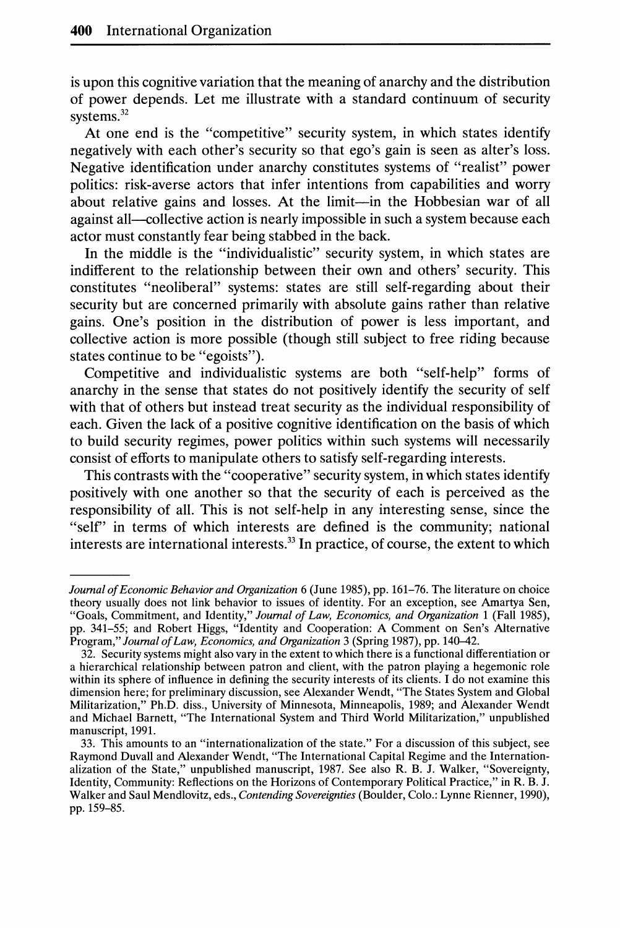is upon this cognitive variation that the meaning of anarchy and the distribution of power depends. Let me illustrate with a standard continuum of security systems. $32$ 

At one end is the "competitive" security system, in which states identify negatively with each other's security so that ego's gain is seen as alter's loss. Negative identification under anarchy constitutes systems of "realist" power politics: risk-averse actors that infer intentions from capabilities and worry about relative gains and losses. At the limit-in the Hobbesian war of all against all—collective action is nearly impossible in such a system because each actor must constantly fear being stabbed in the back.

In the middle is the "individualistic" security system, in which states are indifferent to the relationship between their own and others' security. This constitutes "neoliberal" systems: states are still self-regarding about their security but are concerned primarily with absolute gains rather than relative gains. One's position in the distribution of power is less important, and collective action is more possible (though still subject to free riding because states continue to be "egoists").

Competitive and individualistic systems are both "self-help" forms of anarchy in the sense that states do not positively identify the security of self with that of others but instead treat security as the individual responsibility of each. Given the lack of a positive cognitive identification on the basis of which to build security regimes, power politics within such systems will necessarily consist of efforts to manipulate others to satisfy self-regarding interests.

This contrasts with the "cooperative" security system, in which states identify positively with one another so that the security of each is perceived as the responsibility of all. This is not self-help in any interesting sense, since the "self" in terms of which interests are defined is the community; national interests are international interests.<sup>33</sup> In practice, of course, the extent to which

Journal of Economic Behavior and Organization 6 (June 1985), pp. 161-76. The literature on choice theory usually does not link behavior to issues of identity. For an exception, see Amartya Sen, "Goals, Commitment, and Identity," Journal of Law, Economics, and Organization 1 (Fall 1985), pp. 341–55; and Robert Higgs, "Identity and Cooperation: A Comment on Sen's Alternative Program," Journal of Law, Economics, and Organization 3 (Spring 1987), pp. 140-42.

<sup>32.</sup> Security systems might also vary in the extent to which there is a functional differentiation or a hierarchical relationship between patron and client, with the patron playing a hegemonic role within its sphere of influence in defining the security interests of its clients. I do not examine this dimension here; for preliminary discussion, see Alexander Wendt, "The States System and Global Militarization," Ph.D. diss., University of Minnesota, Minneapolis, 1989; and Alexander Wendt and Michael Barnett, "The International System and Third World Militarization," unpublished manuscript, 1991.

<sup>33.</sup> This amounts to an "internationalization of the state." For a discussion of this subject, see Raymond Duvall and Alexander Wendt, "The International Capital Regime and the Internationalization of the State," unpublished manuscript, 1987. See also R. B. J. Walker, "Sovereignty, Identity, Community: Reflections on the Horizons of Contemporary Political Practice," in R. B. J. Walker and Saul Mendlovitz, eds., Contending Sovereignties (Boulder, Colo.: Lynne Rienner, 1990), pp. 159-85.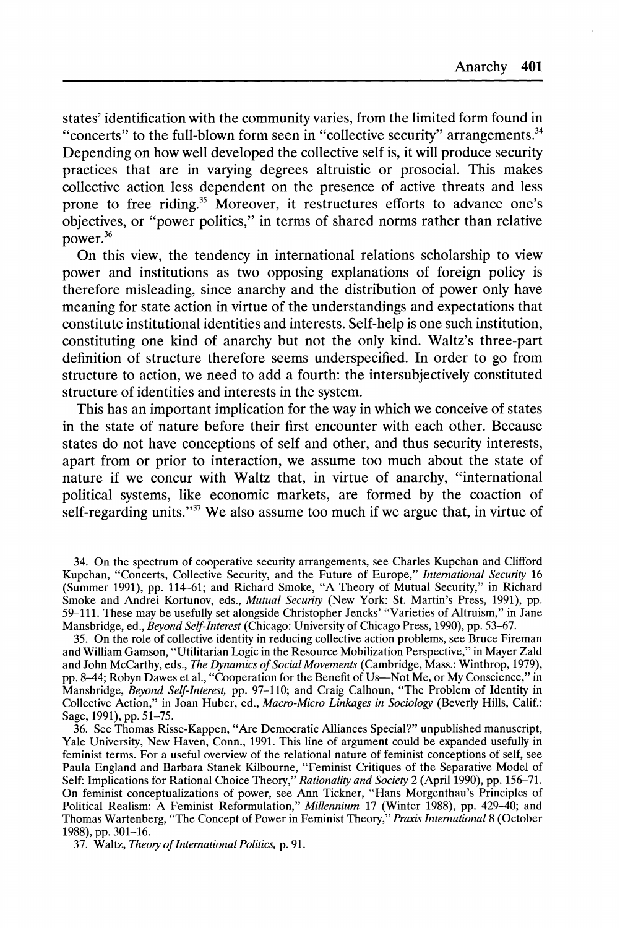states' identification with the community varies, from the limited form found in "concerts" to the full-blown form seen in "collective security" arrangements.<sup>34</sup>

Depending on how well developed the collective self is, it will produce security practices that are in varying degrees altruistic or prosocial. This makes collective action less dependent on the presence of active threats and less prone to free riding.<sup>35</sup> Moreover, it restructures efforts to advance one's objectives, or "power politics," in terms of shared norms rather than relative  $nower.<sup>36</sup>$ 

On this view, the tendency in international relations scholarship to view power and institutions as two opposing explanations of foreign policy is therefore misleading, since anarchy and the distribution of power only have meaning for state action in virtue of the understandings and expectations that constitute institutional identities and interests. Self-help is one such institution, constituting one kind of anarchy but not the only kind. Waltz's three-part definition of structure therefore seems underspecified. In order to go from structure to action, we need to add a fourth: the intersubjectively constituted structure of identities and interests in the system.

This has an important implication for the way in which we conceive of states in the state of nature before their first encounter with each other. Because states do not have conceptions of self and other, and thus security interests, apart from or prior to interaction, we assume too much about the state of nature if we concur with Waltz that, in virtue of anarchy, "international political systems, like economic markets, are formed by the coaction of self-regarding units."<sup>37</sup> We also assume too much if we argue that, in virtue of

34. On the spectrum of cooperative security arrangements, see Charles Kupchan and Clifford Kupchan, "Concerts, Collective Security, and the Future of Europe," International Security 16 (Summer 1991), pp. 114–61; and Richard Smoke, "A Theory of Mutual Security," in Richard<br>Smoke and Andrei Kortunov, eds., *Mutual Security* (New York: St. Martin's Press, 1991), pp. 59–111. These may be usefully set alongside Christopher Jencks' "Varieties of Altruism," in Jane Mansbridge, ed., Beyond Self-Interest (Chicago: University of Chicago Press, 1990), pp. 53–67.

35. On the role of collective identity in reducing collective action problems, see Bruce Fireman and William Gamson, "Utilitarian Logic in the Resource Mobilization Perspective," in Mayer Zald and John McCarthy, eds., The Dynamics of Social Movements (Cambridge, Mass.: Winthrop, 1979), pp. 8-44; Robyn Dawes et al., "Cooperation for the Benefit of Us—Not Me, or My Conscience," in Mansbridge, Beyond Self-Interest, pp. 97-110; and Craig Calhoun, "The Problem of Identity in Collective Action," in Joan Huber, ed., Macro-Micro Linkages in Sociology (Beverly Hills, Calif.: Sage, 1991), pp. 51-75.

36. See Thomas Risse-Kappen, "Are Democratic Alliances Special?" unpublished manuscript, Yale University, New Haven, Conn., 1991. This line of argument could be expanded usefully in feminist terms. For a useful overview of the relational nature of feminist conceptions of self, see Feminist terms. For a useful overview of the relational nature of reminist conceptions of sen, see<br>Paula England and Barbara Stanek Kilbourne, "Feminist Critiques of the Separative Model of<br>Self: Implications for Rational Thomas Wartenberg, "The Concept of Power in Feminist Theory," Praxis International 8 (October 1988), pp. 301-16.

37. Waltz, Theory of International Politics, p. 91.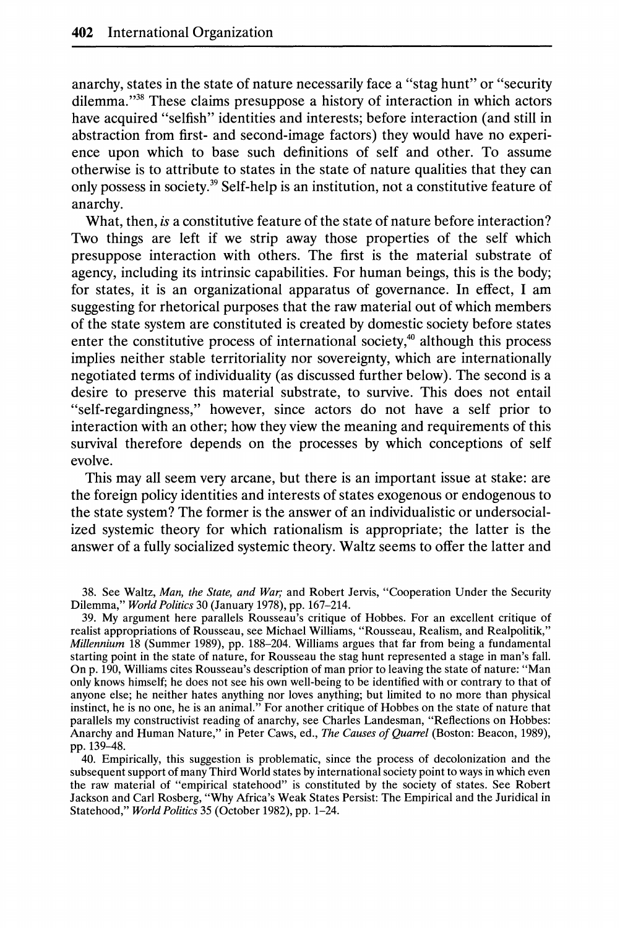anarchy, states in the state of nature necessarily face a "stag hunt" or "security dilemma."<sup>38</sup> These claims presuppose a history of interaction in which actors have acquired "selfish" identities and interests; before interaction (and still in abstraction from first- and second-image factors) they would have no experience upon which to base such definitions of self and other. To assume otherwise is to attribute to states in the state of nature qualities that they can only possess in society.<sup>39</sup> Self-help is an institution, not a constitutive feature of anarchy.

What, then, is a constitutive feature of the state of nature before interaction? Two things are left if we strip away those properties of the self which presuppose interaction with others. The first is the material substrate of agency, including its intrinsic capabilities. For human beings, this is the body; for states, it is an organizational apparatus of governance. In effect, I am suggesting for rhetorical purposes that the raw material out of which members of the state system are constituted is created by domestic society before states enter the constitutive process of international society,<sup>40</sup> although this process implies neither stable territoriality nor sovereignty, which are internationally negotiated terms of individuality (as discussed further below). The second is a desire to preserve this material substrate, to survive. This does not entail "self-regardingness," however, since actors do not have a self prior to interaction with an other; how they view the meaning and requirements of this survival therefore depends on the processes by which conceptions of self evolve.

This may all seem very arcane, but there is an important issue at stake: are the foreign policy identities and interests of states exogenous or endogenous to the state system? The former is the answer of an individualistic or undersocialized systemic theory for which rationalism is appropriate; the latter is the answer of a fully socialized systemic theory. Waltz seems to offer the latter and

38. See Waltz, Man, the State, and War; and Robert Jervis, "Cooperation Under the Security Dilemma," World Politics 30 (January 1978), pp. 167-214.

39. My argument here parallels Rousseau's critique of Hobbes. For an excellent critique of realist appropriations of Rousseau, see Michael Williams, "Rousseau, Realism, and Realpolitik," Millennium 18 (Summer 1989), pp. 188–204. Williams argues that far from being a fundamental starting point in the state of nature, for Rousseau the stag hunt represented a stage in man's fall. On p. 190, Williams cites Rousseau's description of man prior to leaving the state of nature: "Man only knows himself; he does not see his own well-being to be identified with or contrary to that of anyone else; he neither hates anything nor loves anything; but limited to no more than physical instinct, he is no one, he is an animal." For another critique of Hobbes on the state of nature that parallels my constructivist reading of anarchy, see Charles Landesman, "Reflections on Hobbes: Anarchy and Human Nature," in Peter Caws, ed., The Causes of Quarrel (Boston: Beacon, 1989), pp. 139-48.

40. Empirically, this suggestion is problematic, since the process of decolonization and the subsequent support of many Third World states by international society point to ways in which even the raw material of "empirical statehood" is constituted by the society of states. See Robert Jackson and Carl Rosberg, "Why Africa's Weak States Persist: The Empirical and the Juridical in Statehood," World Politics 35 (October 1982), pp. 1-24.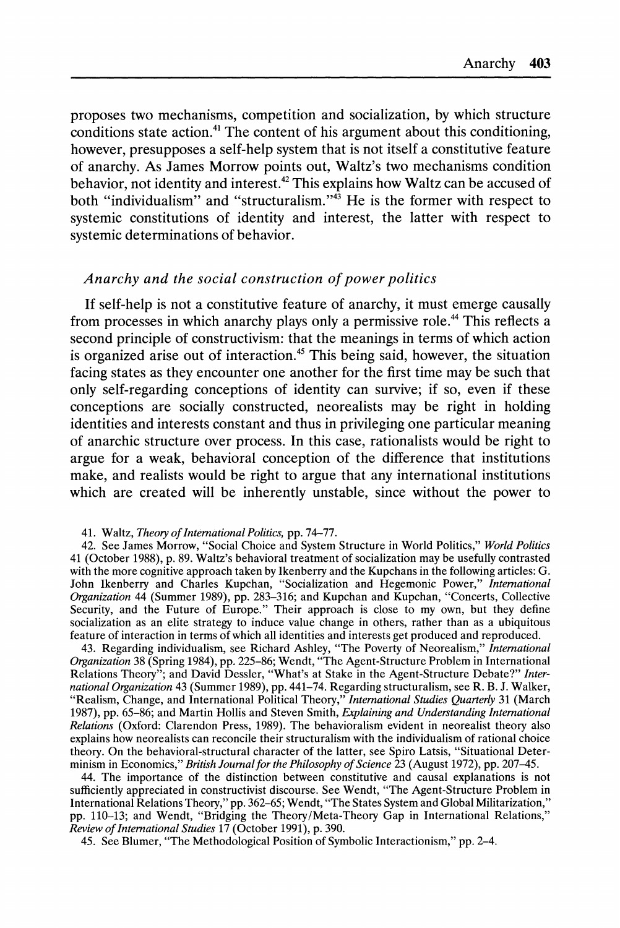proposes two mechanisms, competition and socialization, by which structure conditions state action.<sup>41</sup> The content of his argument about this conditioning, however, presupposes a self-help system that is not itself a constitutive feature of anarchy. As James Morrow points out, Waltz's two mechanisms condition behavior, not identity and interest.<sup>42</sup> This explains how Waltz can be accused of both "individualism" and "structuralism."<sup>43</sup> He is the former with respect to systemic constitutions of identity and interest, the latter with respect to systemic determinations of behavior.

### Anarchy and the social construction of power politics

If self-help is not a constitutive feature of anarchy, it must emerge causally from processes in which anarchy plays only a permissive role.<sup>44</sup> This reflects a second principle of constructivism: that the meanings in terms of which action is organized arise out of interaction.<sup>45</sup> This being said, however, the situation facing states as they encounter one another for the first time may be such that only self-regarding conceptions of identity can survive; if so, even if these conceptions are socially constructed, neorealists may be right in holding identities and interests constant and thus in privileging one particular meaning of anarchic structure over process. In this case, rationalists would be right to argue for a weak, behavioral conception of the difference that institutions make, and realists would be right to argue that any international institutions which are created will be inherently unstable, since without the power to

#### 41. Waltz, Theory of International Politics, pp. 74-77.

42. See James Morrow, "Social Choice and System Structure in World Politics," World Politics 41 (October 1988), p. 89. Waltz's behavioral treatment of socialization may be usefully contrasted with the more cognitive approach taken by Ikenberry and the Kupchans in the following articles: G. John Ikenberry and Charles Kupchan, "Socialization and Hegemonic Power," International Organization 44 (Summer 1989), pp. 283-316; and Kupchan and Kupchan, "Concerts, Collective Security, and the Future of Europe." Their approach is close to my own, but they define socialization as an elite strategy to induce value change in others, rather than as a ubiquitous feature of interaction in terms of which all identities and interests get produced and reproduced.

43. Regarding individualism, see Richard Ashley, "The Poverty of Neorealism," International Organization 38 (Spring 1984), pp. 225–86; Wendt, "The Agent-Structure Problem in International Relations Theory"; and David Dessler, "What's at Stake in the Agent-Structure Debate?" International Organization 43 (Summer 1989), pp. 441–74. Regarding structuralism, see R. B. J. Walker, "Realism, Change, and International Political Theory," International Studies Quarterly 31 (March 1987), pp. 65-86; and Martin Hollis and Steven Smith, Explaining and Understanding International Relations (Oxford: Clarendon Press, 1989). The behavioralism evident in neorealist theory also explains how neorealists can reconcile their structuralism with the individualism of rational choice theory. On the behavioral-structural character of the latter, see Spiro Latsis, "Situational Determinism in Economics," British Journal for the Philosophy of Science 23 (August 1972), pp. 207–45.

44. The importance of the distinction between constitutive and causal explanations is not sufficiently appreciated in constructivist discourse. See Wendt, "The Agent-Structure Problem in International Relations Theory," pp. 362-65; Wendt, "The States System and Global Militarization," pp. 110-13; and Wendt, "Bridging the Theory/Meta-Theory Gap in International Relations," Review of International Studies 17 (October 1991), p. 390.

45. See Blumer, "The Methodological Position of Symbolic Interactionism," pp. 2–4.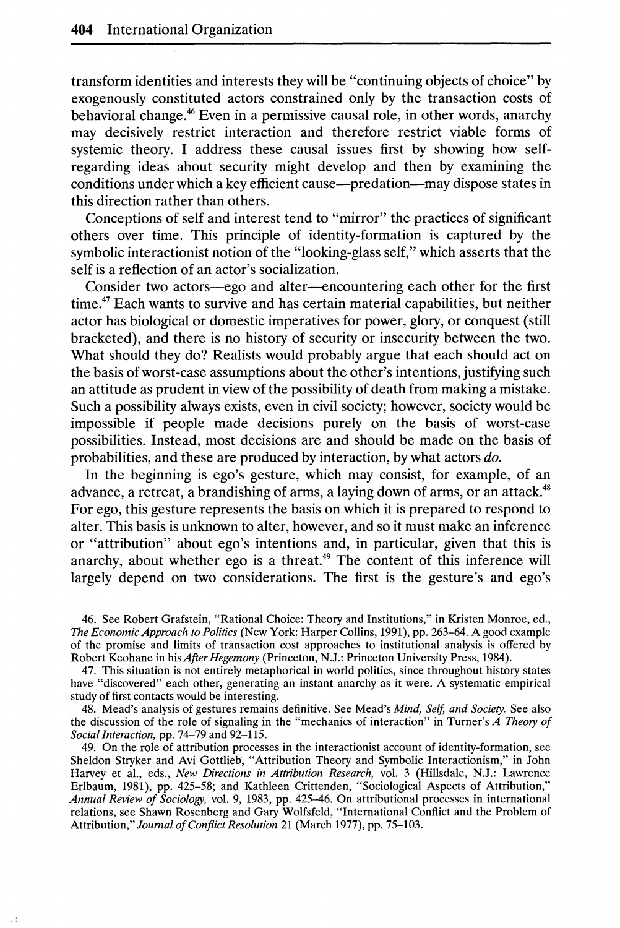transform identities and interests they will be "continuing objects of choice" by exogenously constituted actors constrained only by the transaction costs of behavioral change.<sup>46</sup> Even in a permissive causal role, in other words, anarchy may decisively restrict interaction and therefore restrict viable forms of systemic theory. I address these causal issues first by showing how selfregarding ideas about security might develop and then by examining the conditions under which a key efficient cause—predation—may dispose states in this direction rather than others.

Conceptions of self and interest tend to "mirror" the practices of significant others over time. This principle of identity-formation is captured by the symbolic interactionist notion of the "looking-glass self," which asserts that the self is a reflection of an actor's socialization.

Consider two actors—ego and alter—encountering each other for the first time.<sup>47</sup> Each wants to survive and has certain material capabilities, but neither actor has biological or domestic imperatives for power, glory, or conquest (still bracketed), and there is no history of security or insecurity between the two. What should they do? Realists would probably argue that each should act on the basis of worst-case assumptions about the other's intentions, justifying such an attitude as prudent in view of the possibility of death from making a mistake. Such a possibility always exists, even in civil society; however, society would be impossible if people made decisions purely on the basis of worst-case possibilities. Instead, most decisions are and should be made on the basis of probabilities, and these are produced by interaction, by what actors do.

In the beginning is ego's gesture, which may consist, for example, of an advance, a retreat, a brandishing of arms, a laying down of arms, or an attack.<sup>48</sup> For ego, this gesture represents the basis on which it is prepared to respond to alter. This basis is unknown to alter, however, and so it must make an inference or "attribution" about ego's intentions and, in particular, given that this is anarchy, about whether ego is a threat.<sup>49</sup> The content of this inference will largely depend on two considerations. The first is the gesture's and ego's

46. See Robert Grafstein, "Rational Choice: Theory and Institutions," in Kristen Monroe, ed., The Economic Approach to Politics (New York: Harper Collins, 1991), pp. 263-64. A good example of the promise and limits of transaction cost approaches to institutional analysis is offered by Robert Keohane in his After Hegemony (Princeton, N.J.: Princeton University Press, 1984).

47. This situation is not entirely metaphorical in world politics, since throughout history states have "discovered" each other, generating an instant anarchy as it were. A systematic empirical study of first contacts would be interesting.

48. Mead's analysis of gestures remains definitive. See Mead's Mind, Self, and Society. See also the discussion of the role of signaling in the "mechanics of interaction" in Turner's A Theory of Social Interaction, pp. 74-79 and 92-115.

49. On the role of attribution processes in the interactionist account of identity-formation, see Sheldon Stryker and Avi Gottlieb, "Attribution Theory and Symbolic Interactionism," in John Harvey et al., eds., New Directions in Attribution Research, vol. 3 (Hillsdale, N.J.: Lawrence Erlbaum, 1981), pp. 425–58; and Kathleen Crittenden, "Sociological Aspects of Attribution," Annual Review of Sociology, vol. 9, 1983, pp. 425–46. On attributional processes in international relations, see Shawn Rosenberg and Gary Wolfsfeld, "International Conflict and the Problem of Attribution," Journal of Conflict Resolution 21 (March 1977), pp. 75-103.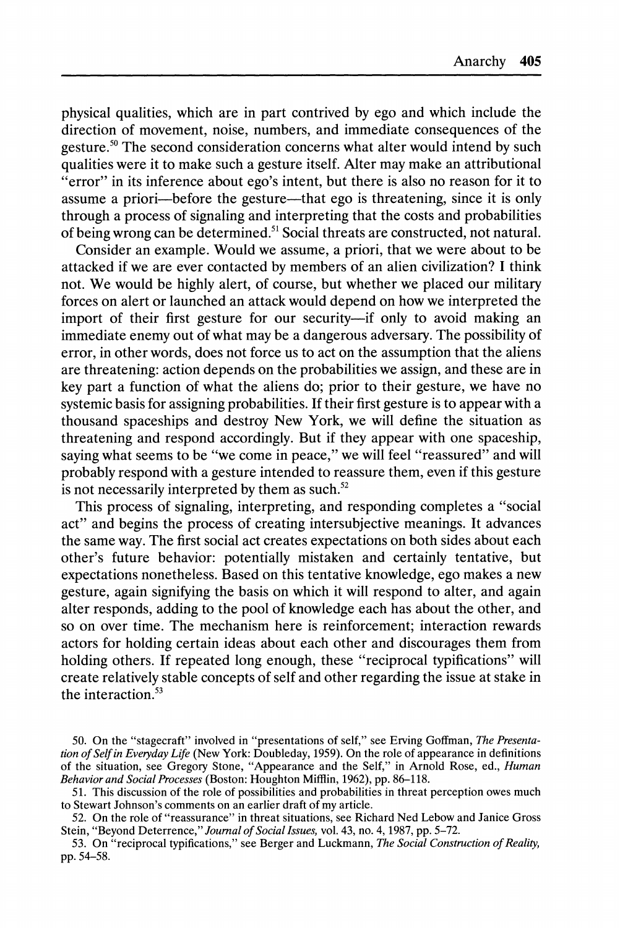physical qualities, which are in part contrived by ego and which include the direction of movement, noise, numbers, and immediate consequences of the gesture.<sup>50</sup> The second consideration concerns what alter would intend by such qualities were it to make such a gesture itself. Alter may make an attributional "error" in its inference about ego's intent, but there is also no reason for it to assume a priori—before the gesture—that ego is threatening, since it is only through a process of signaling and interpreting that the costs and probabilities of being wrong can be determined.<sup>51</sup> Social threats are constructed, not natural.

Consider an example. Would we assume, a priori, that we were about to be attacked if we are ever contacted by members of an alien civilization? I think not. We would be highly alert, of course, but whether we placed our military forces on alert or launched an attack would depend on how we interpreted the import of their first gesture for our security—if only to avoid making an immediate enemy out of what may be a dangerous adversary. The possibility of error, in other words, does not force us to act on the assumption that the aliens are threatening: action depends on the probabilities we assign, and these are in key part a function of what the aliens do; prior to their gesture, we have no systemic basis for assigning probabilities. If their first gesture is to appear with a thousand spaceships and destroy New York, we will define the situation as threatening and respond accordingly. But if they appear with one spaceship, saying what seems to be "we come in peace," we will feel "reassured" and will probably respond with a gesture intended to reassure them, even if this gesture is not necessarily interpreted by them as such.<sup>52</sup>

This process of signaling, interpreting, and responding completes a "social act" and begins the process of creating intersubjective meanings. It advances the same way. The first social act creates expectations on both sides about each other's future behavior: potentially mistaken and certainly tentative, but expectations nonetheless. Based on this tentative knowledge, ego makes a new gesture, again signifying the basis on which it will respond to alter, and again alter responds, adding to the pool of knowledge each has about the other, and so on over time. The mechanism here is reinforcement; interaction rewards actors for holding certain ideas about each other and discourages them from holding others. If repeated long enough, these "reciprocal typifications" will create relatively stable concepts of self and other regarding the issue at stake in the interaction. $53$ 

<sup>50.</sup> On the "stagecraft" involved in "presentations of self," see Erving Goffman, The Presentation of Self in Everyday Life (New York: Doubleday, 1959). On the role of appearance in definitions of the situation, see Gregory Stone, "Appearance and the Self," in Arnold Rose, ed., Human Behavior and Social Processes (Boston: Houghton Mifflin, 1962), pp. 86-118.

<sup>51.</sup> This discussion of the role of possibilities and probabilities in threat perception owes much to Stewart Johnson's comments on an earlier draft of my article.

<sup>52.</sup> On the role of "reassurance" in threat situations, see Richard Ned Lebow and Janice Gross Stein, "Beyond Deterrence," Journal of Social Issues, vol. 43, no. 4, 1987, pp. 5-72.

<sup>53.</sup> On "reciprocal typifications," see Berger and Luckmann, The Social Construction of Reality, pp. 54-58.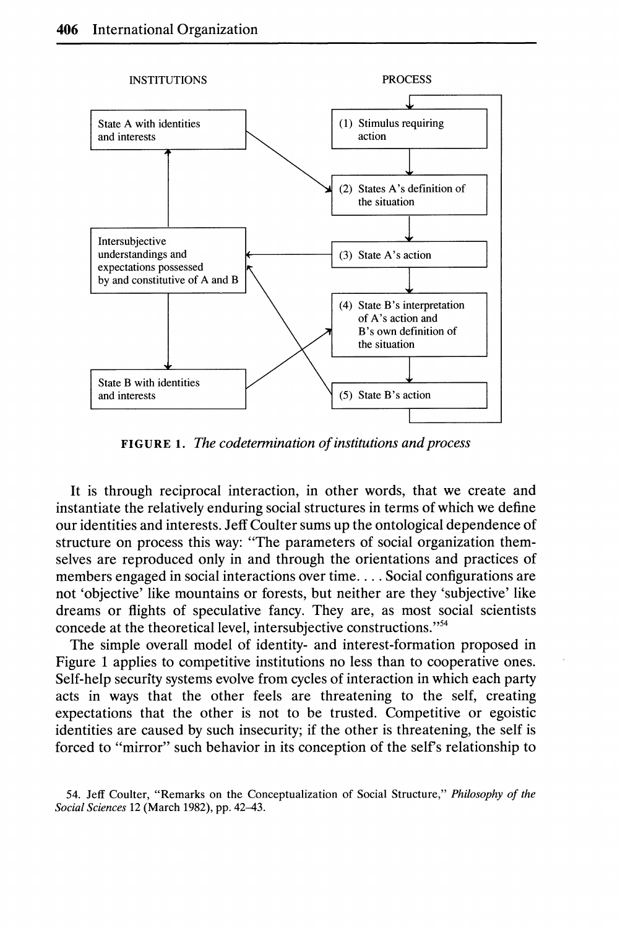

FIGURE 1. The codetermination of institutions and process

It is through reciprocal interaction, in other words, that we create and instantiate the relatively enduring social structures in terms of which we define our identities and interests. Jeff Coulter sums up the ontological dependence of structure on process this way: "The parameters of social organization themselves are reproduced only in and through the orientations and practices of members engaged in social interactions over time.... Social configurations are not 'objective' like mountains or forests, but neither are they 'subjective' like dreams or flights of speculative fancy. They are, as most social scientists concede at the theoretical level, intersubjective constructions."<sup>54</sup>

The simple overall model of identity- and interest-formation proposed in Figure 1 applies to competitive institutions no less than to cooperative ones. Self-help security systems evolve from cycles of interaction in which each party acts in ways that the other feels are threatening to the self, creating expectations that the other is not to be trusted. Competitive or egoistic identities are caused by such insecurity; if the other is threatening, the self is forced to "mirror" such behavior in its conception of the self's relationship to

<sup>54.</sup> Jeff Coulter, "Remarks on the Conceptualization of Social Structure," Philosophy of the Social Sciences 12 (March 1982), pp. 42-43.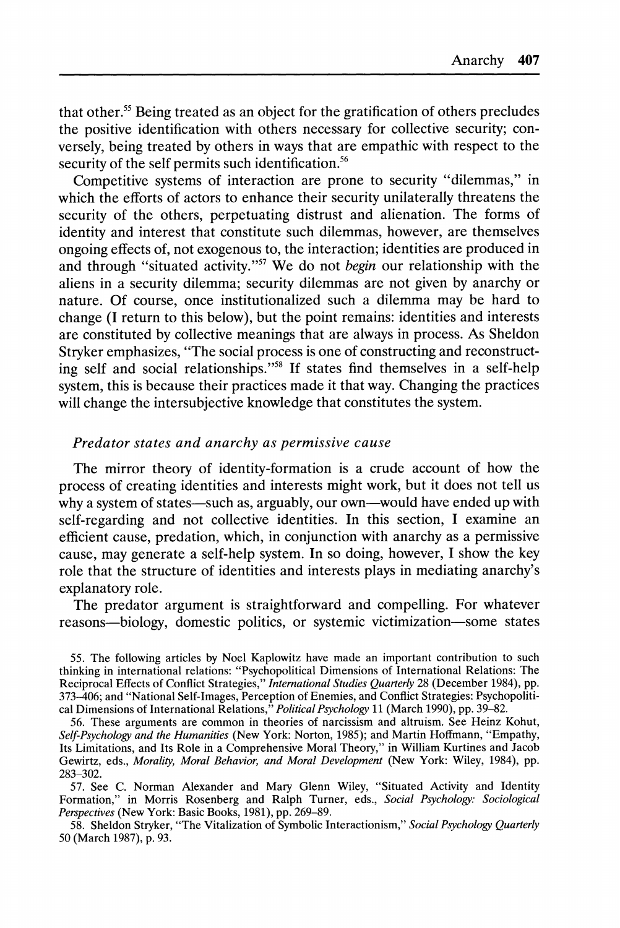that other.<sup>55</sup> Being treated as an object for the gratification of others precludes the positive identification with others necessary for collective security; conversely, being treated by others in ways that are empathic with respect to the security of the self permits such identification.<sup>56</sup>

Competitive systems of interaction are prone to security "dilemmas," in which the efforts of actors to enhance their security unilaterally threatens the security of the others, perpetuating distrust and alienation. The forms of identity and interest that constitute such dilemmas, however, are themselves ongoing effects of, not exogenous to, the interaction; identities are produced in and through "situated activity."<sup>57</sup> We do not begin our relationship with the aliens in a security dilemma; security dilemmas are not given by anarchy or nature. Of course, once institutionalized such a dilemma may be hard to change (I return to this below), but the point remains: identities and interests are constituted by collective meanings that are always in process. As Sheldon Stryker emphasizes, "The social process is one of constructing and reconstructing self and social relationships."<sup>58</sup> If states find themselves in a self-help system, this is because their practices made it that way. Changing the practices will change the intersubjective knowledge that constitutes the system.

## Predator states and anarchy as permissive cause

The mirror theory of identity-formation is a crude account of how the process of creating identities and interests might work, but it does not tell us why a system of states—such as, arguably, our own—would have ended up with self-regarding and not collective identities. In this section, I examine an efficient cause, predation, which, in conjunction with anarchy as a permissive cause, may generate a self-help system. In so doing, however, I show the key role that the structure of identities and interests plays in mediating anarchy's explanatory role.

The predator argument is straightforward and compelling. For whatever reasons—biology, domestic politics, or systemic victimization—some states

55. The following articles by Noel Kaplowitz have made an important contribution to such thinking in international relations: "Psychopolitical Dimensions of International Relations: The Reciprocal Effects of Conflict Strategies," International Studies Quarterly 28 (December 1984), pp. 373-406; and "National Self-Images, Perception of Enemies, and Conflict Strategies: Psychopolitical Dimensions of International Relations," Political Psychology 11 (March 1990), pp. 39-82.

56. These arguments are common in theories of narcissism and altruism. See Heinz Kohut, Self-Psychology and the Humanities (New York: Norton, 1985); and Martin Hoffmann, "Empathy, Its Limitations, and Its Role in a Comprehensive Moral Theory," in William Kurtines and Jacob Gewirtz, eds., Morality, Moral Behavior, and Moral Development (New York: Wiley, 1984), pp. 283-302.

57. See C. Norman Alexander and Mary Glenn Wiley, "Situated Activity and Identity Formation," in Morris Rosenberg and Ralph Turner, eds., *Social Psychology: Sociological Perspectives* (New York: Basic Books, 1981), pp. 26

58. Sheldon Stryker, "The Vitalization of Symbolic Interactionism," Social Psychology Quarterly 50 (March 1987), p. 93.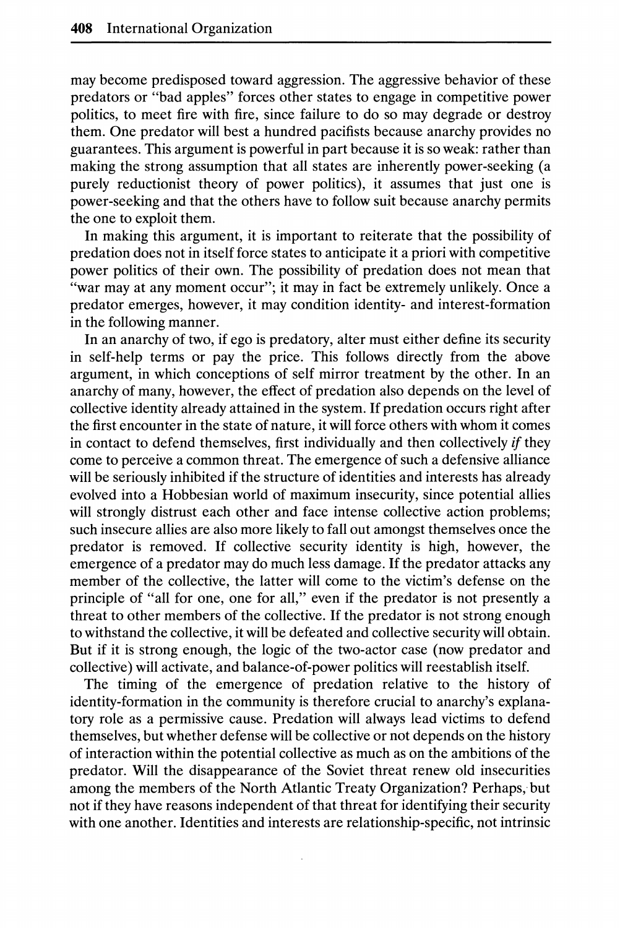may become predisposed toward aggression. The aggressive behavior of these predators or "bad apples" forces other states to engage in competitive power politics, to meet fire with fire, since failure to do so may degrade or destroy them. One predator will best a hundred pacifists because anarchy provides no guarantees. This argument is powerful in part because it is so weak: rather than making the strong assumption that all states are inherently power-seeking (a purely reductionist theory of power politics), it assumes that just one is power-seeking and that the others have to follow suit because anarchy permits the one to exploit them.

In making this argument, it is important to reiterate that the possibility of predation does not in itself force states to anticipate it a priori with competitive power politics of their own. The possibility of predation does not mean that "war may at any moment occur"; it may in fact be extremely unlikely. Once a predator emerges, however, it may condition identity- and interest-formation in the following manner.

In an anarchy of two, if ego is predatory, alter must either define its security in self-help terms or pay the price. This follows directly from the above argument, in which conceptions of self mirror treatment by the other. In an anarchy of many, however, the effect of predation also depends on the level of collective identity already attained in the system. If predation occurs right after the first encounter in the state of nature, it will force others with whom it comes in contact to defend themselves, first individually and then collectively if they come to perceive a common threat. The emergence of such a defensive alliance will be seriously inhibited if the structure of identities and interests has already evolved into a Hobbesian world of maximum insecurity, since potential allies will strongly distrust each other and face intense collective action problems; such insecure allies are also more likely to fall out amongst themselves once the predator is removed. If collective security identity is high, however, the emergence of a predator may do much less damage. If the predator attacks any member of the collective, the latter will come to the victim's defense on the principle of "all for one, one for all," even if the predator is not presently a threat to other members of the collective. If the predator is not strong enough to withstand the collective, it will be defeated and collective security will obtain. But if it is strong enough, the logic of the two-actor case (now predator and collective) will activate, and balance-of-power politics will reestablish itself.

The timing of the emergence of predation relative to the history of identity-formation in the community is therefore crucial to anarchy's explanatory role as a permissive cause. Predation will always lead victims to defend themselves, but whether defense will be collective or not depends on the history of interaction within the potential collective as much as on the ambitions of the predator. Will the disappearance of the Soviet threat renew old insecurities among the members of the North Atlantic Treaty Organization? Perhaps, but not if they have reasons independent of that threat for identifying their security with one another. Identities and interests are relationship-specific, not intrinsic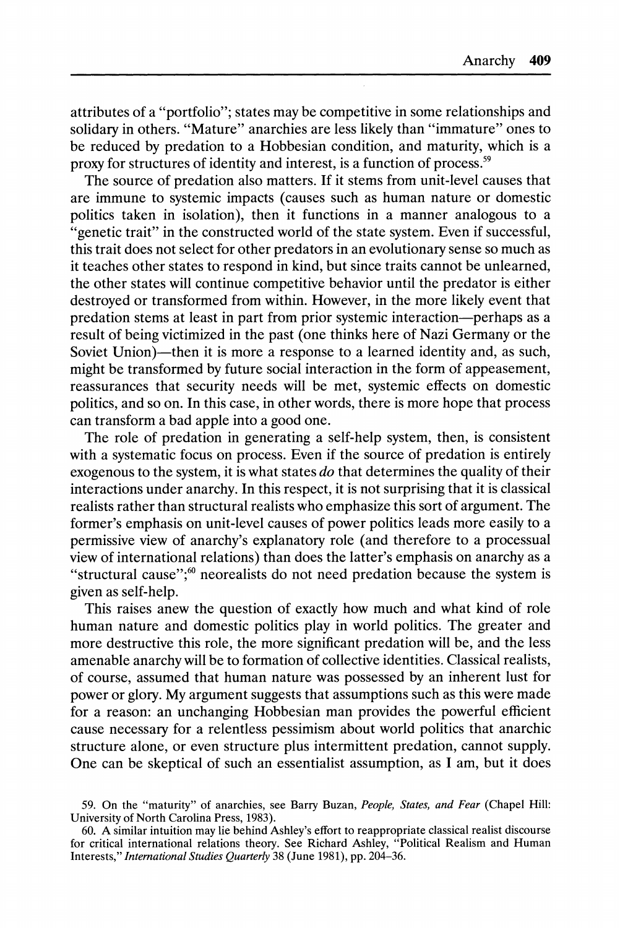attributes of a "portfolio"; states may be competitive in some relationships and solidary in others. "Mature" anarchies are less likely than "immature" ones to be reduced by predation to a Hobbesian condition, and maturity, which is a proxy for structures of identity and interest, is a function of process.<sup>59</sup>

The source of predation also matters. If it stems from unit-level causes that are immune to systemic impacts (causes such as human nature or domestic politics taken in isolation), then it functions in a manner analogous to a "genetic trait" in the constructed world of the state system. Even if successful, this trait does not select for other predators in an evolutionary sense so much as it teaches other states to respond in kind, but since traits cannot be unlearned, the other states will continue competitive behavior until the predator is either destroved or transformed from within. However, in the more likely event that predation stems at least in part from prior systemic interaction-perhaps as a result of being victimized in the past (one thinks here of Nazi Germany or the Soviet Union)—then it is more a response to a learned identity and, as such, might be transformed by future social interaction in the form of appeasement, reassurances that security needs will be met, systemic effects on domestic politics, and so on. In this case, in other words, there is more hope that process can transform a bad apple into a good one.

The role of predation in generating a self-help system, then, is consistent with a systematic focus on process. Even if the source of predation is entirely exogenous to the system, it is what states do that determines the quality of their interactions under anarchy. In this respect, it is not surprising that it is classical realists rather than structural realists who emphasize this sort of argument. The former's emphasis on unit-level causes of power politics leads more easily to a permissive view of anarchy's explanatory role (and therefore to a processual view of international relations) than does the latter's emphasis on anarchy as a "structural cause";<sup>60</sup> neorealists do not need predation because the system is given as self-help.

This raises anew the question of exactly how much and what kind of role human nature and domestic politics play in world politics. The greater and more destructive this role, the more significant predation will be, and the less amenable anarchy will be to formation of collective identities. Classical realists, of course, assumed that human nature was possessed by an inherent lust for power or glory. My argument suggests that assumptions such as this were made for a reason: an unchanging Hobbesian man provides the powerful efficient cause necessary for a relentless pessimism about world politics that anarchic structure alone, or even structure plus intermittent predation, cannot supply. One can be skeptical of such an essentialist assumption, as I am, but it does

<sup>59.</sup> On the "maturity" of anarchies, see Barry Buzan, People, States, and Fear (Chapel Hill: University of North Carolina Press, 1983).

<sup>60.</sup> A similar intuition may lie behind Ashley's effort to reappropriate classical realist discourse for critical international relations theory. See Richard Ashley, "Political Realism and Human Interests," International Studies Quarterly 38 (June 1981), pp. 204-36.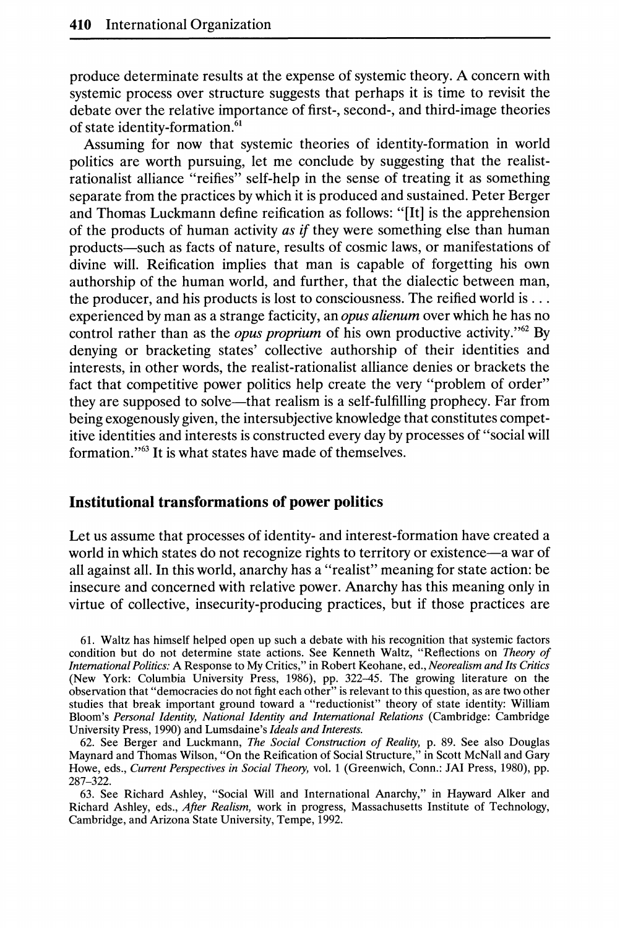produce determinate results at the expense of systemic theory. A concern with systemic process over structure suggests that perhaps it is time to revisit the debate over the relative importance of first-, second-, and third-image theories of state identity-formation.<sup>61</sup>

Assuming for now that systemic theories of identity-formation in world politics are worth pursuing, let me conclude by suggesting that the realistrationalist alliance "reifies" self-help in the sense of treating it as something separate from the practices by which it is produced and sustained. Peter Berger and Thomas Luckmann define reification as follows: "[It] is the apprehension of the products of human activity as if they were something else than human products—such as facts of nature, results of cosmic laws, or manifestations of divine will. Reification implies that man is capable of forgetting his own authorship of the human world, and further, that the dialectic between man, the producer, and his products is lost to consciousness. The reified world is  $\dots$ experienced by man as a strange facticity, an opus alienum over which he has no control rather than as the *opus proprium* of his own productive activity."<sup>62</sup> By denying or bracketing states' collective authorship of their identities and interests, in other words, the realist-rationalist alliance denies or brackets the fact that competitive power politics help create the very "problem of order" they are supposed to solve—that realism is a self-fulfilling prophecy. Far from being exogenously given, the intersubjective knowledge that constitutes competitive identities and interests is constructed every day by processes of "social will formation."<sup>63</sup> It is what states have made of themselves.

# **Institutional transformations of power politics**

Let us assume that processes of identity- and interest-formation have created a world in which states do not recognize rights to territory or existence—a war of all against all. In this world, anarchy has a "realist" meaning for state action: be insecure and concerned with relative power. Anarchy has this meaning only in virtue of collective, insecurity-producing practices, but if those practices are

61. Waltz has himself helped open up such a debate with his recognition that systemic factors condition but do not determine state actions. See Kenneth Waltz, "Reflections on Theory of International Politics: A Response to My Critics," in Robert Keohane, ed., Neorealism and Its Critics (New York: Columbia University Press, 1986), pp. 322-45. The growing literature on the observation that "democracies do not fight each other" is relevant to this question, as are two other studies that break important ground toward a "reductionist" theory of state identity: William Bloom's Personal Identity, National Identity and International Relations (Cambridge: Cambridge University Press, 1990) and Lumsdaine's Ideals and Interests.

62. See Berger and Luckmann, *The Social Construction of Reality*, p. 89. See also Douglas Maynard and Thomas Wilson, "On the Reification of Social Structure," in Scott McNall and Gary Howe, eds., Current Perspectives in Social Theory, vol. 1 (Greenwich, Conn.: JAI Press, 1980), pp. 287-322.

63. See Richard Ashley, "Social Will and International Anarchy," in Hayward Alker and Richard Ashley, eds., After Realism, work in progress, Massachusetts Institute of Technology, Cambridge, and Arizona State University, Tempe, 1992.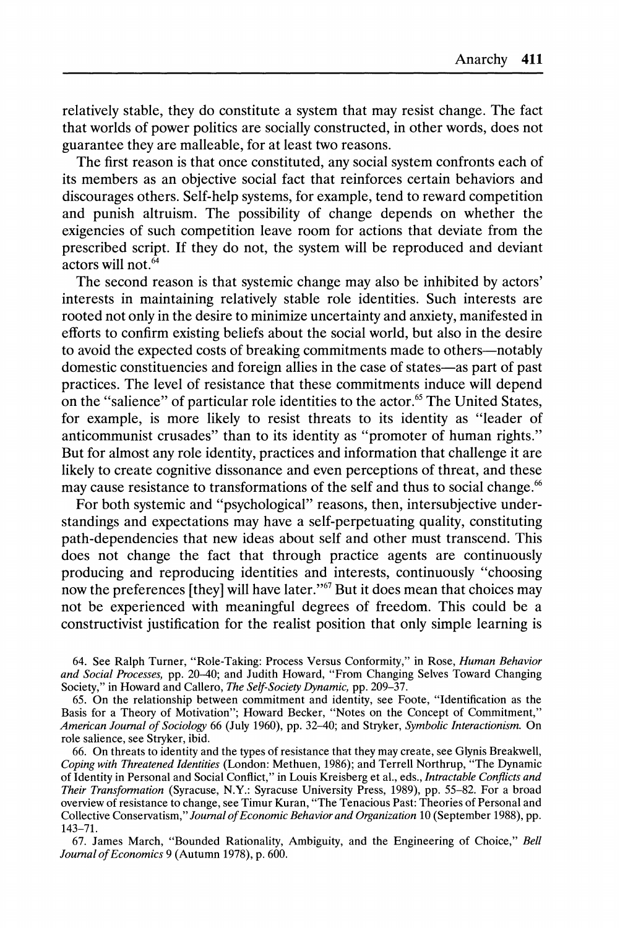relatively stable, they do constitute a system that may resist change. The fact that worlds of power politics are socially constructed, in other words, does not guarantee they are malleable, for at least two reasons.

The first reason is that once constituted, any social system confronts each of its members as an objective social fact that reinforces certain behaviors and discourages others. Self-help systems, for example, tend to reward competition and punish altruism. The possibility of change depends on whether the exigencies of such competition leave room for actions that deviate from the prescribed script. If they do not, the system will be reproduced and deviant  $\arccos$  will not.<sup> $64$ </sup>

The second reason is that systemic change may also be inhibited by actors' interests in maintaining relatively stable role identities. Such interests are rooted not only in the desire to minimize uncertainty and anxiety, manifested in efforts to confirm existing beliefs about the social world, but also in the desire to avoid the expected costs of breaking commitments made to others—notably domestic constituencies and foreign allies in the case of states—as part of past practices. The level of resistance that these commitments induce will depend on the "salience" of particular role identities to the actor.<sup>65</sup> The United States, for example, is more likely to resist threats to its identity as "leader of anticommunist crusades" than to its identity as "promoter of human rights." But for almost any role identity, practices and information that challenge it are likely to create cognitive dissonance and even perceptions of threat, and these may cause resistance to transformations of the self and thus to social change.<sup>66</sup>

For both systemic and "psychological" reasons, then, intersubjective understandings and expectations may have a self-perpetuating quality, constituting path-dependencies that new ideas about self and other must transcend. This does not change the fact that through practice agents are continuously producing and reproducing identities and interests, continuously "choosing now the preferences [they] will have later."<sup>67</sup> But it does mean that choices may not be experienced with meaningful degrees of freedom. This could be a constructivist justification for the realist position that only simple learning is

64. See Ralph Turner, "Role-Taking: Process Versus Conformity," in Rose, Human Behavior and Social Processes, pp. 20-40; and Judith Howard, "From Changing Selves Toward Changing Society," in Howard and Callero, The Self-Society Dynamic, pp. 209-37.

65. On the relationship between commitment and identity, see Foote, "Identification as the Basis for a Theory of Motivation"; Howard Becker, "Notes on the Concept of Commitment," American Journal of Sociology 66 (July 1960), pp. 32-40; and Stryker, Symbolic Interactionism. On role salience, see Stryker, ibid.

66. On threats to identity and the types of resistance that they may create, see Glynis Breakwell, Coping with Threatened Identities (London: Methuen, 1986); and Terrell Northrup, "The Dynamic of Identity in Personal and Social Conflict," in Louis Kreisberg et al., eds., Intractable Conflicts and Their Transformation (Syracuse, N.Y.: Syracuse University Press, 1989), pp. 55-82. For a broad overview of resistance to change, see Timur Kuran, "The Tenacious Past: Theories of Personal and Collective Conservatism," Journal of Economic Behavior and Organization 10 (September 1988), pp.  $143 - 71.$ 

67. James March, "Bounded Rationality, Ambiguity, and the Engineering of Choice," Bell Journal of Economics 9 (Autumn 1978), p. 600.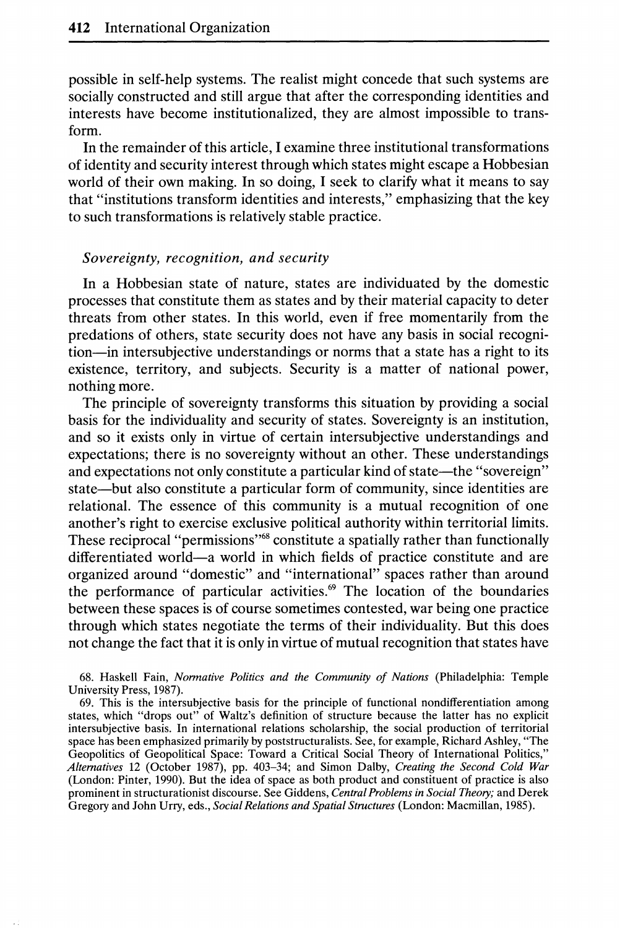possible in self-help systems. The realist might concede that such systems are socially constructed and still argue that after the corresponding identities and interests have become institutionalized, they are almost impossible to transform.

In the remainder of this article, I examine three institutional transformations of identity and security interest through which states might escape a Hobbesian world of their own making. In so doing, I seek to clarify what it means to say that "institutions transform identities and interests," emphasizing that the key to such transformations is relatively stable practice.

# Sovereignty, recognition, and security

In a Hobbesian state of nature, states are individuated by the domestic processes that constitute them as states and by their material capacity to deter threats from other states. In this world, even if free momentarily from the predations of others, state security does not have any basis in social recognition—in intersubjective understandings or norms that a state has a right to its existence, territory, and subjects. Security is a matter of national power, nothing more.

The principle of sovereignty transforms this situation by providing a social basis for the individuality and security of states. Sovereignty is an institution, and so it exists only in virtue of certain intersubjective understandings and expectations; there is no sovereignty without an other. These understandings and expectations not only constitute a particular kind of state—the "sovereign" state—but also constitute a particular form of community, since identities are relational. The essence of this community is a mutual recognition of one another's right to exercise exclusive political authority within territorial limits. These reciprocal "permissions"<sup>68</sup> constitute a spatially rather than functionally differentiated world-a world in which fields of practice constitute and are organized around "domestic" and "international" spaces rather than around the performance of particular activities.<sup>69</sup> The location of the boundaries between these spaces is of course sometimes contested, war being one practice through which states negotiate the terms of their individuality. But this does not change the fact that it is only in virtue of mutual recognition that states have

68. Haskell Fain, Normative Politics and the Community of Nations (Philadelphia: Temple University Press, 1987).

69. This is the intersubjective basis for the principle of functional nondifferentiation among states, which "drops out" of Waltz's definition of structure because the latter has no explicit intersubjective basis. In international relations scholarship, the social production of territorial space has been emphasized primarily by poststructuralists. See, for example, Richard Ashley, "The Geopolitics of Geopolitical Space: Toward a Critical Social Theory of International Politics," Alternatives 12 (October 1987), pp. 403-34; and Simon Dalby, Creating the Second Cold War (London: Pinter, 1990). But the idea of space as both product and constituent of practice is also prominent in structurationist discourse. See Giddens, Central Problems in Social Theory; and Derek Gregory and John Urry, eds., Social Relations and Spatial Structures (London: Macmillan, 1985).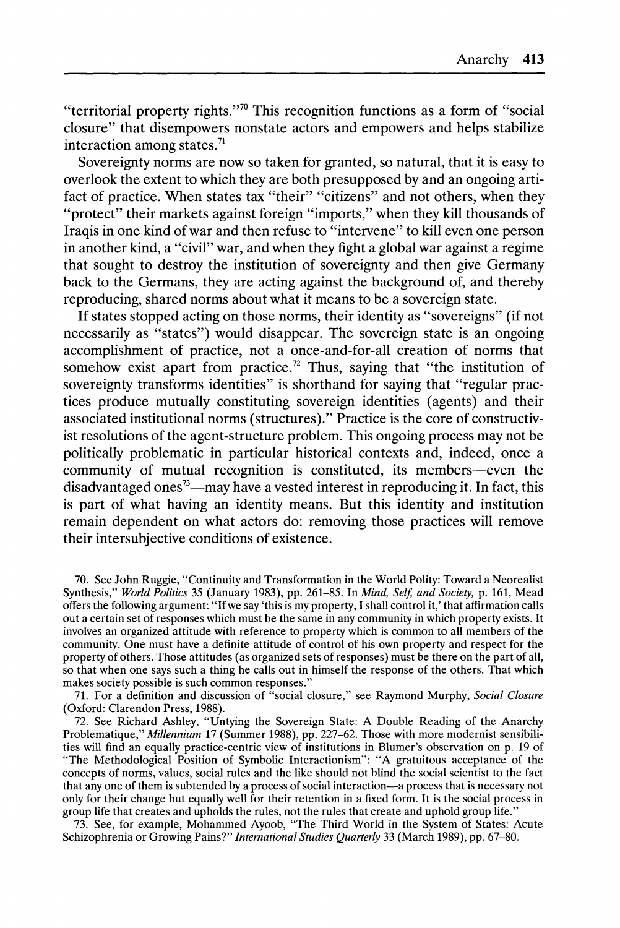"territorial property rights."70 This recognition functions as a form of "social closure" that disempowers nonstate actors and empowers and helps stabilize interaction among states.<sup>71</sup>

Sovereignty norms are now so taken for granted, so natural, that it is easy to overlook the extent to which they are both presupposed by and an ongoing artifact of practice. When states tax "their" "citizens" and not others, when they "protect" their markets against foreign "imports," when they kill thousands of Iraqis in one kind of war and then refuse to "intervene" to kill even one person in another kind, a "civil" war, and when they fight a global war against a regime that sought to destroy the institution of sovereignty and then give Germany back to the Germans, they are acting against the background of, and thereby reproducing, shared norms about what it means to be a sovereign state.

If states stopped acting on those norms, their identity as "sovereigns" (if not necessarily as "states") would disappear. The sovereign state is an ongoing accomplishment of practice, not a once-and-for-all creation of norms that somehow exist apart from practice.<sup>72</sup> Thus, saying that "the institution of sovereignty transforms identities" is shorthand for saying that "regular practices produce mutually constituting sovereign identities (agents) and their associated institutional norms (structures)." Practice is the core of constructivist resolutions of the agent-structure problem. This ongoing process may not be politically problematic in particular historical contexts and, indeed, once a community of mutual recognition is constituted, its members—even the disadvantaged ones<sup>73</sup>—may have a vested interest in reproducing it. In fact, this is part of what having an identity means. But this identity and institution remain dependent on what actors do: removing those practices will remove their intersubjective conditions of existence.

70. See John Ruggie, "Continuity and Transformation in the World Polity: Toward a Neorealist Synthesis," World Politics 35 (January 1983), pp. 261–85. In Mind, Self, and Society, p. 161, Mead offers the following argument: "If we say 'this is my property, I shall control it,' that affirmation calls out a certain set of responses which must be the same in any community in which property exists. It involves an organized attitude with reference to property which is common to all members of the community. One must have a definite attitude of control of his own property and respect for the property of others. Those attitudes (as organized sets of responses) must be there on the part of all, so that when one says such a thing he calls out in himself the response of the others. That which makes society possible is such common responses."

71. For a definition and discussion of "social closure," see Raymond Murphy, Social Closure (Oxford: Clarendon Press, 1988).

72. See Richard Ashley, "Untying the Sovereign State: A Double Reading of the Anarchy Problematique," Millennium 17 (Summer 1988), pp. 227-62. Those with more modernist sensibilities will find an equally practice-centric view of institutions in Blumer's observation on p. 19 of "The Methodological Position of Symbolic Interactionism": "A gratuitous acceptance of the concepts of norms, values, social rules and the like should not blind the social scientist to the fact that any one of them is subtended by a process of social interaction-a process that is necessary not only for their change but equally well for their retention in a fixed form. It is the social process in group life that creates and upholds the rules, not the rules that create and uphold group life."

73. See, for example, Mohammed Ayoob, "The Third World in the System of States: Acute Schizophrenia or Growing Pains?" International Studies Quarterly 33 (March 1989), pp. 67-80.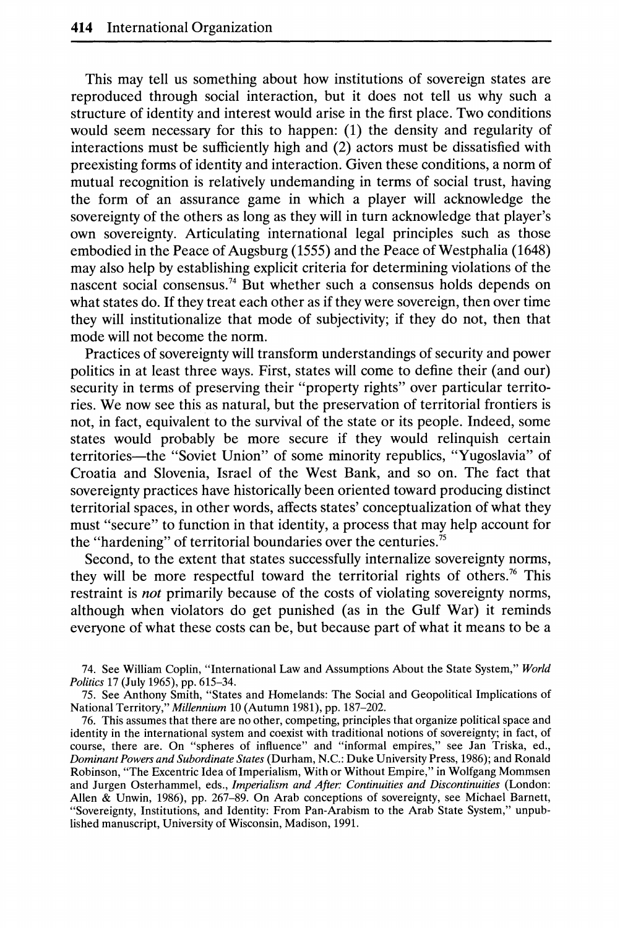This may tell us something about how institutions of sovereign states are reproduced through social interaction, but it does not tell us why such a structure of identity and interest would arise in the first place. Two conditions would seem necessary for this to happen: (1) the density and regularity of interactions must be sufficiently high and (2) actors must be dissatisfied with preexisting forms of identity and interaction. Given these conditions, a norm of mutual recognition is relatively undemanding in terms of social trust, having the form of an assurance game in which a player will acknowledge the sovereignty of the others as long as they will in turn acknowledge that player's own sovereignty. Articulating international legal principles such as those embodied in the Peace of Augsburg (1555) and the Peace of Westphalia (1648) may also help by establishing explicit criteria for determining violations of the nascent social consensus.<sup>74</sup> But whether such a consensus holds depends on what states do. If they treat each other as if they were sovereign, then over time they will institutionalize that mode of subjectivity; if they do not, then that mode will not become the norm.

Practices of sovereignty will transform understandings of security and power politics in at least three ways. First, states will come to define their (and our) security in terms of preserving their "property rights" over particular territories. We now see this as natural, but the preservation of territorial frontiers is not, in fact, equivalent to the survival of the state or its people. Indeed, some states would probably be more secure if they would relinquish certain territories—the "Soviet Union" of some minority republics, "Yugoslavia" of Croatia and Slovenia, Israel of the West Bank, and so on. The fact that sovereignty practices have historically been oriented toward producing distinct territorial spaces, in other words, affects states' conceptualization of what they must "secure" to function in that identity, a process that may help account for the "hardening" of territorial boundaries over the centuries.<sup>75</sup>

Second, to the extent that states successfully internalize sovereignty norms, they will be more respectful toward the territorial rights of others.<sup>76</sup> This restraint is *not* primarily because of the costs of violating sovereignty norms, although when violators do get punished (as in the Gulf War) it reminds everyone of what these costs can be, but because part of what it means to be a

74. See William Coplin, "International Law and Assumptions About the State System," World Politics 17 (July 1965), pp. 615-34.

75. See Anthony Smith, "States and Homelands: The Social and Geopolitical Implications of National Territory," Millennium 10 (Autumn 1981), pp. 187-202.

76. This assumes that there are no other, competing, principles that organize political space and identity in the international system and coexist with traditional notions of sovereignty; in fact, of course, there are. On "spheres of influence" and "informal empires," see Jan Triska, ed., Dominant Powers and Subordinate States (Durham, N.C.: Duke University Press, 1986); and Ronald Robinson, "The Excentric Idea of Imperialism, With or Without Empire," in Wolfgang Mommsen and Jurgen Osterhammel, eds., Imperialism and After: Continuities and Discontinuities (London: Allen & Unwin, 1986), pp. 267-89. On Arab conceptions of sovereignty, see Michael Barnett, "Sovereignty, Institutions, and Identity: From Pan-Arabism to the Arab State System," unpublished manuscript, University of Wisconsin, Madison, 1991.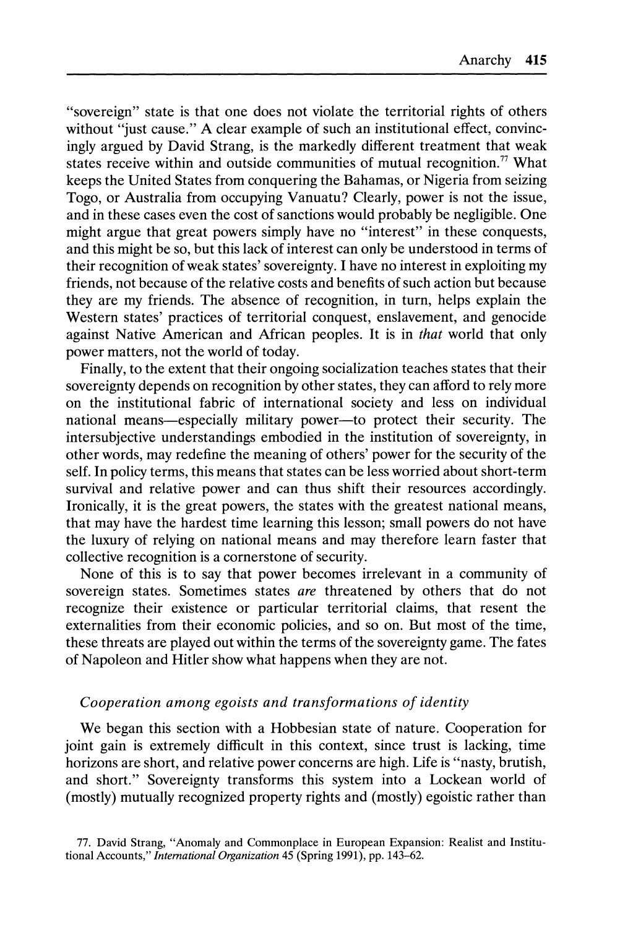"sovereign" state is that one does not violate the territorial rights of others without "just cause." A clear example of such an institutional effect, convincingly argued by David Strang, is the markedly different treatment that weak states receive within and outside communities of mutual recognition.<sup>77</sup> What keeps the United States from conquering the Bahamas, or Nigeria from seizing Togo, or Australia from occupying Vanuatu? Clearly, power is not the issue, and in these cases even the cost of sanctions would probably be negligible. One might argue that great powers simply have no "interest" in these conquests, and this might be so, but this lack of interest can only be understood in terms of their recognition of weak states' sovereignty. I have no interest in exploiting my friends, not because of the relative costs and benefits of such action but because they are my friends. The absence of recognition, in turn, helps explain the Western states' practices of territorial conquest, enslavement, and genocide against Native American and African peoples. It is in that world that only power matters, not the world of today.

Finally, to the extent that their ongoing socialization teaches states that their sovereignty depends on recognition by other states, they can afford to rely more on the institutional fabric of international society and less on individual national means—especially military power—to protect their security. The intersubjective understandings embodied in the institution of sovereignty, in other words, may redefine the meaning of others' power for the security of the self. In policy terms, this means that states can be less worried about short-term survival and relative power and can thus shift their resources accordingly. Ironically, it is the great powers, the states with the greatest national means, that may have the hardest time learning this lesson; small powers do not have the luxury of relying on national means and may therefore learn faster that collective recognition is a cornerstone of security.

None of this is to say that power becomes irrelevant in a community of sovereign states. Sometimes states are threatened by others that do not recognize their existence or particular territorial claims, that resent the externalities from their economic policies, and so on. But most of the time, these threats are played out within the terms of the sovereignty game. The fates of Napoleon and Hitler show what happens when they are not.

# Cooperation among egoists and transformations of identity

We began this section with a Hobbesian state of nature. Cooperation for joint gain is extremely difficult in this context, since trust is lacking, time horizons are short, and relative power concerns are high. Life is "nasty, brutish, and short." Sovereignty transforms this system into a Lockean world of (mostly) mutually recognized property rights and (mostly) egoistic rather than

<sup>77.</sup> David Strang, "Anomaly and Commonplace in European Expansion: Realist and Institutional Accounts," International Organization 45 (Spring 1991), pp. 143-62.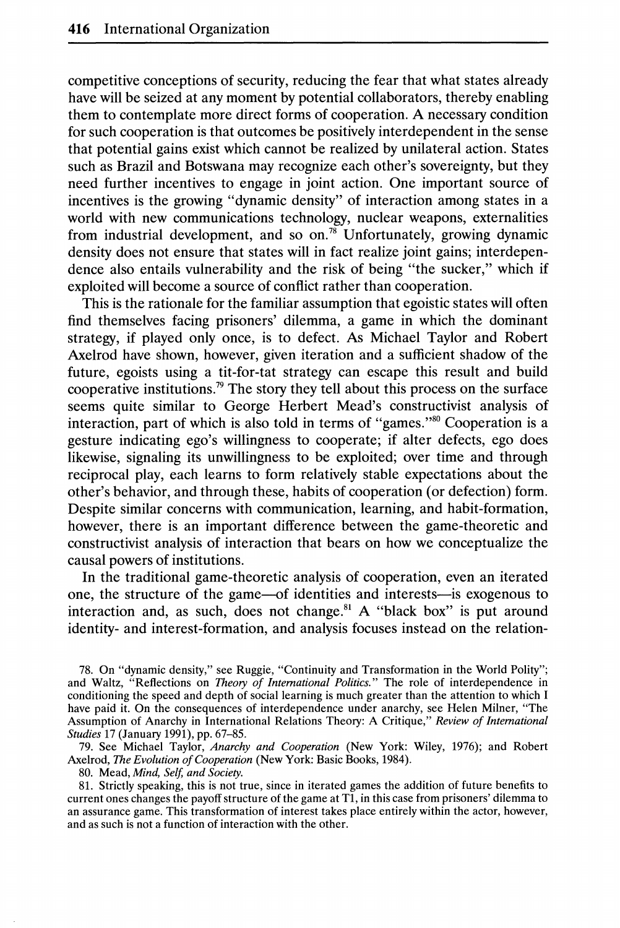competitive conceptions of security, reducing the fear that what states already have will be seized at any moment by potential collaborators, thereby enabling them to contemplate more direct forms of cooperation. A necessary condition for such cooperation is that outcomes be positively interdependent in the sense that potential gains exist which cannot be realized by unilateral action. States such as Brazil and Botswana may recognize each other's sovereignty, but they need further incentives to engage in joint action. One important source of incentives is the growing "dynamic density" of interaction among states in a world with new communications technology, nuclear weapons, externalities from industrial development, and so on.<sup>78</sup> Unfortunately, growing dynamic density does not ensure that states will in fact realize joint gains; interdependence also entails vulnerability and the risk of being "the sucker," which if exploited will become a source of conflict rather than cooperation.

This is the rationale for the familiar assumption that egoistic states will often find themselves facing prisoners' dilemma, a game in which the dominant strategy, if played only once, is to defect. As Michael Taylor and Robert Axelrod have shown, however, given iteration and a sufficient shadow of the future, egoists using a tit-for-tat strategy can escape this result and build cooperative institutions.<sup>79</sup> The story they tell about this process on the surface seems quite similar to George Herbert Mead's constructivist analysis of interaction, part of which is also told in terms of "games."<sup>80</sup> Cooperation is a gesture indicating ego's willingness to cooperate; if alter defects, ego does likewise, signaling its unwillingness to be exploited; over time and through reciprocal play, each learns to form relatively stable expectations about the other's behavior, and through these, habits of cooperation (or defection) form. Despite similar concerns with communication, learning, and habit-formation, however, there is an important difference between the game-theoretic and constructivist analysis of interaction that bears on how we conceptualize the causal powers of institutions.

In the traditional game-theoretic analysis of cooperation, even an iterated one, the structure of the game—of identities and interests—is exogenous to interaction and, as such, does not change.<sup>81</sup> A "black box" is put around identity- and interest-formation, and analysis focuses instead on the relation-

78. On "dynamic density," see Ruggie, "Continuity and Transformation in the World Polity"; and Waltz, "Reflections on Theory of International Politics." The role of interdependence in conditioning the speed and depth of social learning is much greater than the attention to which I have paid it. On the consequences of interdependence under anarchy, see Helen Milner, "The Assumption of Anarchy in International Relations Theory: A Critique," Review of International Studies 17 (January 1991), pp. 67-85.

79. See Michael Taylor, Anarchy and Cooperation (New York: Wiley, 1976); and Robert Axelrod, The Evolution of Cooperation (New York: Basic Books, 1984).

80. Mead, Mind, Self, and Society.

81. Strictly speaking, this is not true, since in iterated games the addition of future benefits to current ones changes the payoff structure of the game at  $T\overline{1}$ , in this case from prisoners' dilemma to an assurance game. This transformation of interest takes place entirely within the actor, however, and as such is not a function of interaction with the other.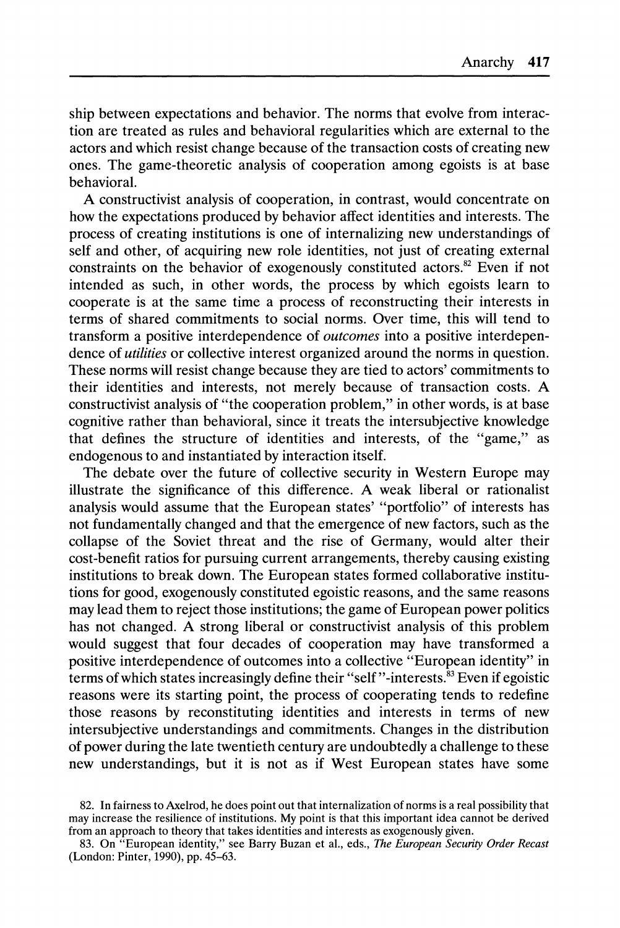ship between expectations and behavior. The norms that evolve from interaction are treated as rules and behavioral regularities which are external to the actors and which resist change because of the transaction costs of creating new ones. The game-theoretic analysis of cooperation among egoists is at base behavioral.

A constructivist analysis of cooperation, in contrast, would concentrate on how the expectations produced by behavior affect identities and interests. The process of creating institutions is one of internalizing new understandings of self and other, of acquiring new role identities, not just of creating external constraints on the behavior of exogenously constituted actors.<sup>82</sup> Even if not intended as such, in other words, the process by which egoists learn to cooperate is at the same time a process of reconstructing their interests in terms of shared commitments to social norms. Over time, this will tend to transform a positive interdependence of *outcomes* into a positive interdependence of *utilities* or collective interest organized around the norms in question. These norms will resist change because they are tied to actors' commitments to their identities and interests, not merely because of transaction costs. A constructivist analysis of "the cooperation problem," in other words, is at base cognitive rather than behavioral, since it treats the intersubjective knowledge that defines the structure of identities and interests, of the "game," as endogenous to and instantiated by interaction itself.

The debate over the future of collective security in Western Europe may illustrate the significance of this difference. A weak liberal or rationalist analysis would assume that the European states' "portfolio" of interests has not fundamentally changed and that the emergence of new factors, such as the collapse of the Soviet threat and the rise of Germany, would alter their cost-benefit ratios for pursuing current arrangements, thereby causing existing institutions to break down. The European states formed collaborative institutions for good, exogenously constituted egoistic reasons, and the same reasons may lead them to reject those institutions; the game of European power politics has not changed. A strong liberal or constructivist analysis of this problem would suggest that four decades of cooperation may have transformed a positive interdependence of outcomes into a collective "European identity" in terms of which states increasingly define their "self"-interests.<sup>83</sup> Even if egoistic reasons were its starting point, the process of cooperating tends to redefine those reasons by reconstituting identities and interests in terms of new intersubjective understandings and commitments. Changes in the distribution of power during the late twentieth century are undoubtedly a challenge to these new understandings, but it is not as if West European states have some

<sup>82.</sup> In fairness to Axelrod, he does point out that internalization of norms is a real possibility that may increase the resilience of institutions. My point is that this important idea cannot be derived from an approach to theory that takes identities and interests as exogenously given.

<sup>83.</sup> On "European identity," see Barry Buzan et al., eds., The European Security Order Recast (London: Pinter, 1990), pp. 45-63.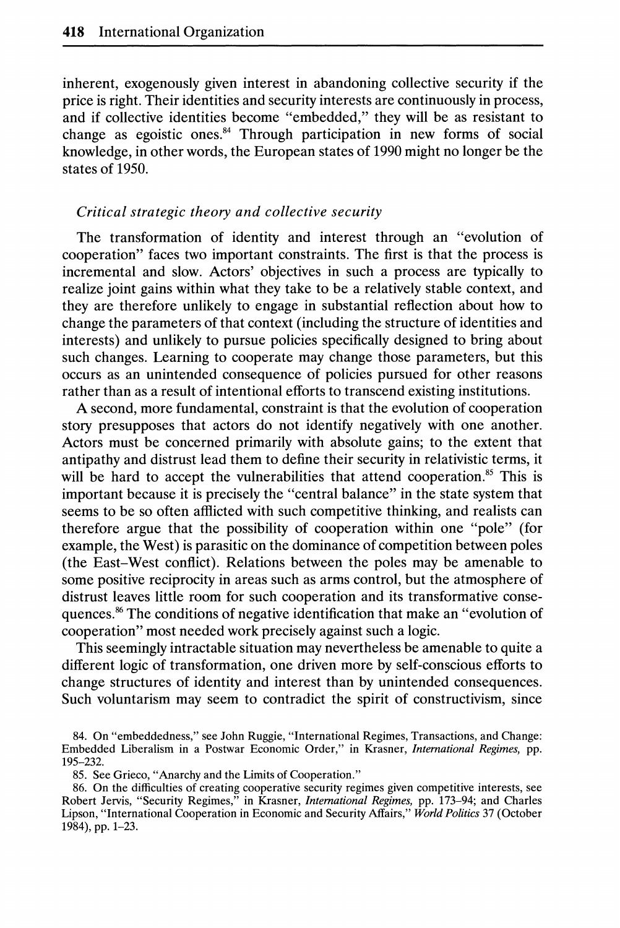inherent, exogenously given interest in abandoning collective security if the price is right. Their identities and security interests are continuously in process, and if collective identities become "embedded," they will be as resistant to change as egoistic ones.<sup>84</sup> Through participation in new forms of social knowledge, in other words, the European states of 1990 might no longer be the states of 1950.

#### Critical strategic theory and collective security

The transformation of identity and interest through an "evolution of cooperation" faces two important constraints. The first is that the process is incremental and slow. Actors' objectives in such a process are typically to realize joint gains within what they take to be a relatively stable context, and they are therefore unlikely to engage in substantial reflection about how to change the parameters of that context (including the structure of identities and interests) and unlikely to pursue policies specifically designed to bring about such changes. Learning to cooperate may change those parameters, but this occurs as an unintended consequence of policies pursued for other reasons rather than as a result of intentional efforts to transcend existing institutions.

A second, more fundamental, constraint is that the evolution of cooperation story presupposes that actors do not identify negatively with one another. Actors must be concerned primarily with absolute gains; to the extent that antipathy and distrust lead them to define their security in relativistic terms, it will be hard to accept the vulnerabilities that attend cooperation.<sup>85</sup> This is important because it is precisely the "central balance" in the state system that seems to be so often afflicted with such competitive thinking, and realists can therefore argue that the possibility of cooperation within one "pole" (for example, the West) is parasitic on the dominance of competition between poles (the East–West conflict). Relations between the poles may be amenable to some positive reciprocity in areas such as arms control, but the atmosphere of distrust leaves little room for such cooperation and its transformative consequences.<sup>86</sup> The conditions of negative identification that make an "evolution of cooperation" most needed work precisely against such a logic.

This seemingly intractable situation may nevertheless be amenable to quite a different logic of transformation, one driven more by self-conscious efforts to change structures of identity and interest than by unintended consequences. Such voluntarism may seem to contradict the spirit of constructivism, since

<sup>84.</sup> On "embeddedness," see John Ruggie, "International Regimes, Transactions, and Change: Embedded Liberalism in a Postwar Economic Order," in Krasner, International Regimes, pp. 195-232.

<sup>85.</sup> See Grieco, "Anarchy and the Limits of Cooperation."

<sup>86.</sup> On the difficulties of creating cooperative security regimes given competitive interests, see Robert Jervis, "Security Regimes," in Krasner, International Regimes, pp. 173-94; and Charles Lipson, "International Cooperation in Economic and Security Affairs," World Politics 37 (October 1984), pp. 1-23.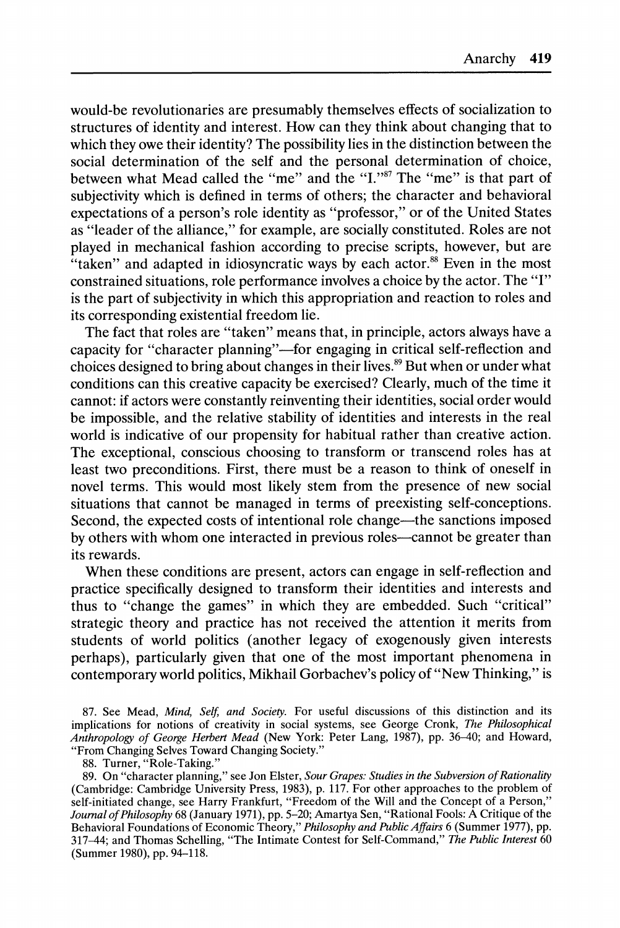would-be revolutionaries are presumably themselves effects of socialization to structures of identity and interest. How can they think about changing that to which they owe their identity? The possibility lies in the distinction between the social determination of the self and the personal determination of choice, between what Mead called the "me" and the "I."<sup>87</sup> The "me" is that part of subjectivity which is defined in terms of others; the character and behavioral expectations of a person's role identity as "professor," or of the United States as "leader of the alliance," for example, are socially constituted. Roles are not played in mechanical fashion according to precise scripts, however, but are "taken" and adapted in idiosyncratic ways by each actor.<sup>88</sup> Even in the most constrained situations, role performance involves a choice by the actor. The "I" is the part of subjectivity in which this appropriation and reaction to roles and its corresponding existential freedom lie.

The fact that roles are "taken" means that, in principle, actors always have a capacity for "character planning"—for engaging in critical self-reflection and choices designed to bring about changes in their lives.<sup>89</sup> But when or under what conditions can this creative capacity be exercised? Clearly, much of the time it cannot: if actors were constantly reinventing their identities, social order would be impossible, and the relative stability of identities and interests in the real world is indicative of our propensity for habitual rather than creative action. The exceptional, conscious choosing to transform or transcend roles has at least two preconditions. First, there must be a reason to think of oneself in novel terms. This would most likely stem from the presence of new social situations that cannot be managed in terms of preexisting self-conceptions. Second, the expected costs of intentional role change—the sanctions imposed by others with whom one interacted in previous roles—cannot be greater than its rewards.

When these conditions are present, actors can engage in self-reflection and practice specifically designed to transform their identities and interests and thus to "change the games" in which they are embedded. Such "critical" strategic theory and practice has not received the attention it merits from students of world politics (another legacy of exogenously given interests perhaps), particularly given that one of the most important phenomena in contemporary world politics, Mikhail Gorbachev's policy of "New Thinking," is

<sup>87.</sup> See Mead, Mind, Self, and Society. For useful discussions of this distinction and its implications for notions of creativity in social systems, see George Cronk, The Philosophical Anthropology of George Herbert Mead (New York: Peter Lang, 1987), pp. 36-40; and Howard, "From Changing Selves Toward Changing Society."

<sup>88.</sup> Turner, "Role-Taking."

<sup>89.</sup> On "character planning," see Jon Elster, Sour Grapes: Studies in the Subversion of Rationality (Cambridge: Cambridge University Press, 1983), p. 117. For other approaches to the problem of self-initiated change, see Harry Frankfurt, "Freedom of the Will and the Concept of a Person," Journal of Philosophy 68 (January 1971), pp. 5-20; Amartya Sen, "Rational Fools: A Critique of the Behavioral Foundations of Economic Theory," Philosophy and Public Affairs 6 (Summer 1977), pp. 317-44; and Thomas Schelling, "The Intimate Contest for Self-Command," The Public Interest 60 (Summer 1980), pp. 94-118.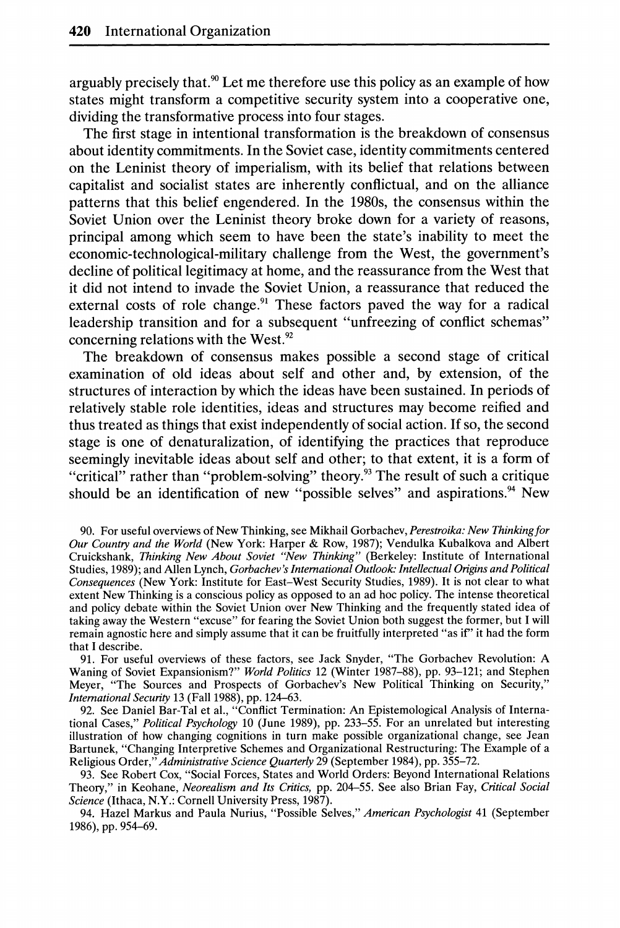arguably precisely that.<sup>90</sup> Let me therefore use this policy as an example of how states might transform a competitive security system into a cooperative one, dividing the transformative process into four stages.

The first stage in intentional transformation is the breakdown of consensus about identity commitments. In the Soviet case, identity commitments centered on the Leninist theory of imperialism, with its belief that relations between capitalist and socialist states are inherently conflictual, and on the alliance patterns that this belief engendered. In the 1980s, the consensus within the Soviet Union over the Leninist theory broke down for a variety of reasons, principal among which seem to have been the state's inability to meet the economic-technological-military challenge from the West, the government's decline of political legitimacy at home, and the reassurance from the West that it did not intend to invade the Soviet Union, a reassurance that reduced the external costs of role change.<sup>91</sup> These factors paved the way for a radical leadership transition and for a subsequent "unfreezing of conflict schemas" concerning relations with the West.<sup>92</sup>

The breakdown of consensus makes possible a second stage of critical examination of old ideas about self and other and, by extension, of the structures of interaction by which the ideas have been sustained. In periods of relatively stable role identities, ideas and structures may become reified and thus treated as things that exist independently of social action. If so, the second stage is one of denaturalization, of identifying the practices that reproduce seemingly inevitable ideas about self and other; to that extent, it is a form of "critical" rather than "problem-solving" theory.<sup>93</sup> The result of such a critique should be an identification of new "possible selves" and aspirations.<sup>94</sup> New

90. For useful overviews of New Thinking, see Mikhail Gorbachev, Perestroika: New Thinking for Our Country and the World (New York: Harper & Row, 1987); Vendulka Kubalkova and Albert Studies, 1989); and Allen Lynch, *Gorbachev's International Cutlockshank*, *Thinking* New *About Soviet "New Thinking"* (Berkeley: Institute of International Studies, 1989); and Allen Lynch, *Gorbachev's International Outl* Consequences (New York: Institute for East-West Security Studies, 1989). It is not clear to what extent New Thinking is a conscious policy as opposed to an ad hoc policy. The intense theoretical and policy debate within the Soviet Union over New Thinking and the frequently stated idea of taking away the Western "excuse" for fearing the Soviet Union both suggest the former, but I will remain agnostic here and simply assume that it can be fruitfully interpreted "as if" it had the form that I describe.

91. For useful overviews of these factors, see Jack Snyder, "The Gorbachev Revolution: A Waning of Soviet Expansionism?" World Politics 12 (Winter 1987–88), pp. 93–121; and Stephen Meyer, "The Sources and Prospects of Gorbachev's New Political Thinking on Security," International Security 13 (Fall 1988), pp. 124-63.

92. See Daniel Bar-Tal et al., "Conflict Termination: An Epistemological Analysis of International Cases," Political Psychology 10 (June 1989), pp. 233-55. For an unrelated but interesting illustration of how changing cognitions in turn make possible organizational change, see Jean Bartunek, "Changing Interpretive Schemes and Organizational Restructuring: The Example of a Religious Order," Administrative Science Quarterly 29 (September 1984), pp. 355-72.

93. See Robert Cox, "Social Forces, States and World Orders: Beyond International Relations Theory," in Keohane, Neorealism and Its Critics, pp. 204-55. See also Brian Fay, Critical Social Science (Ithaca, N.Y.: Cornell University Press, 1987).

94. Hazel Markus and Paula Nurius, "Possible Selves," American Psychologist 41 (September 1986), pp. 954-69.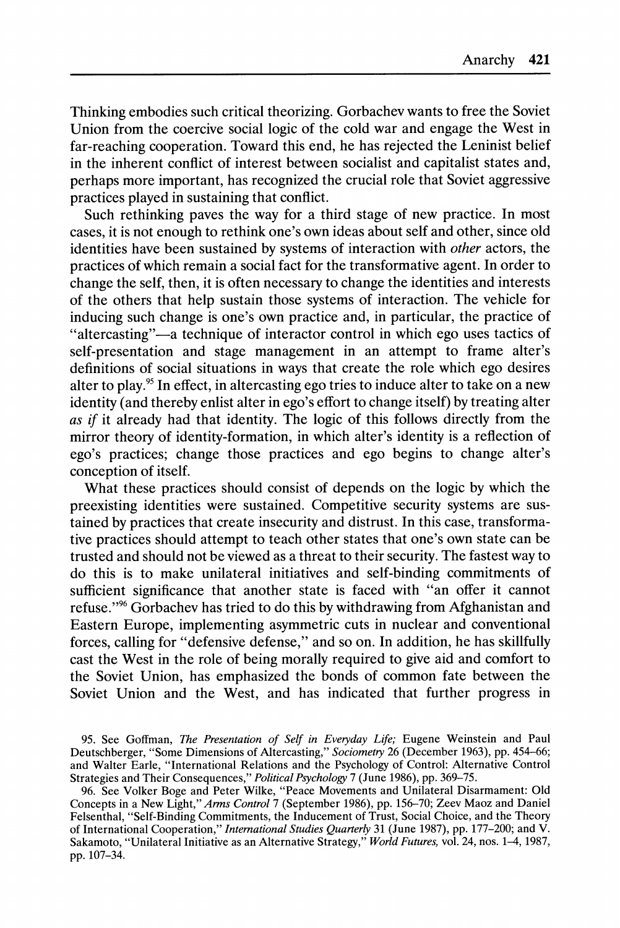Thinking embodies such critical theorizing. Gorbachev wants to free the Soviet Union from the coercive social logic of the cold war and engage the West in far-reaching cooperation. Toward this end, he has rejected the Leninist belief in the inherent conflict of interest between socialist and capitalist states and, perhaps more important, has recognized the crucial role that Soviet aggressive practices played in sustaining that conflict.

Such rethinking paves the way for a third stage of new practice. In most cases, it is not enough to rethink one's own ideas about self and other, since old identities have been sustained by systems of interaction with *other* actors, the practices of which remain a social fact for the transformative agent. In order to change the self, then, it is often necessary to change the identities and interests of the others that help sustain those systems of interaction. The vehicle for inducing such change is one's own practice and, in particular, the practice of "altercasting"-a technique of interactor control in which ego uses tactics of self-presentation and stage management in an attempt to frame alter's definitions of social situations in ways that create the role which ego desires alter to play.<sup>95</sup> In effect, in altercasting ego tries to induce alter to take on a new identity (and thereby enlist alter in ego's effort to change itself) by treating alter as if it already had that identity. The logic of this follows directly from the mirror theory of identity-formation, in which alter's identity is a reflection of ego's practices; change those practices and ego begins to change alter's conception of itself.

What these practices should consist of depends on the logic by which the preexisting identities were sustained. Competitive security systems are sustained by practices that create insecurity and distrust. In this case, transformative practices should attempt to teach other states that one's own state can be trusted and should not be viewed as a threat to their security. The fastest way to do this is to make unilateral initiatives and self-binding commitments of sufficient significance that another state is faced with "an offer it cannot refuse."<sup>96</sup> Gorbachev has tried to do this by withdrawing from Afghanistan and Eastern Europe, implementing asymmetric cuts in nuclear and conventional forces, calling for "defensive defense," and so on. In addition, he has skillfully cast the West in the role of being morally required to give aid and comfort to the Soviet Union, has emphasized the bonds of common fate between the Soviet Union and the West, and has indicated that further progress in

<sup>95.</sup> See Goffman, The Presentation of Self in Everyday Life; Eugene Weinstein and Paul Deutschberger, "Some Dimensions of Altercasting," Sociometry 26 (December 1963), pp. 454-66; and Walter Earle, "International Relations and the Psychology of Control: Alternative Control Strategies and Their Consequences," Political Psychology 7 (June 1986), pp. 369-75.

<sup>96.</sup> See Volker Boge and Peter Wilke, "Peace Movements and Unilateral Disarmament: Old<br>Concepts in a New Light," Arms Control 7 (September 1986), pp. 156–70; Zeev Maoz and Daniel Felsenthal, "Self-Binding Commitments, the Inducement of Trust, Social Choice, and the Theory of International Cooperation," International Studies Quarterly 31 (June 1987), pp. 177-200; and V. Sakamoto, "Unilateral Initiative as an Alternative Strategy," World Futures, vol. 24, nos. 1-4, 1987, pp. 107-34.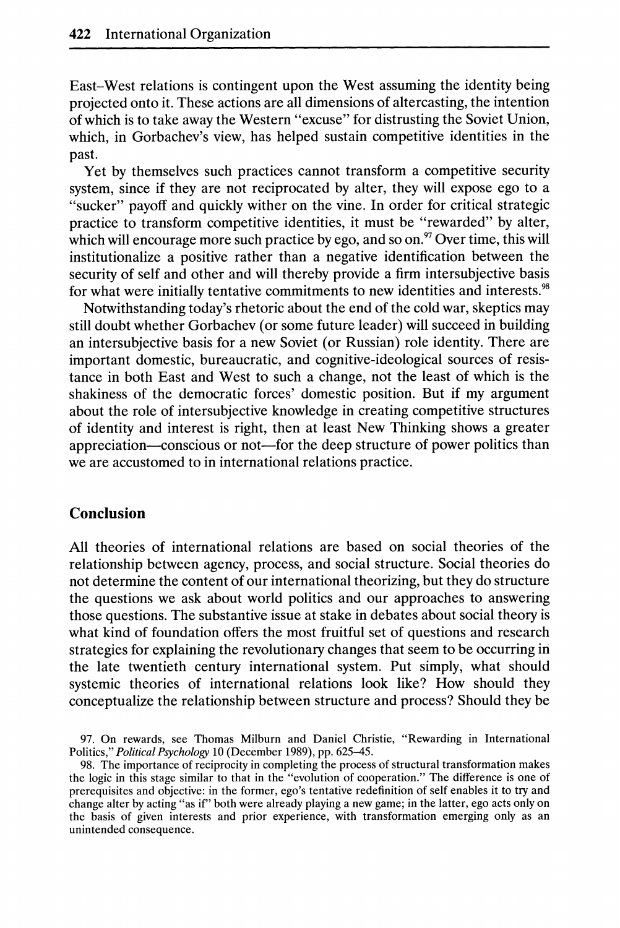East-West relations is contingent upon the West assuming the identity being projected onto it. These actions are all dimensions of altercasting, the intention of which is to take away the Western "excuse" for distrusting the Soviet Union, which, in Gorbachev's view, has helped sustain competitive identities in the past.

Yet by themselves such practices cannot transform a competitive security system, since if they are not reciprocated by alter, they will expose ego to a "sucker" payoff and quickly wither on the vine. In order for critical strategic practice to transform competitive identities, it must be "rewarded" by alter, which will encourage more such practice by ego, and so on.<sup>97</sup> Over time, this will institutionalize a positive rather than a negative identification between the security of self and other and will thereby provide a firm intersubjective basis for what were initially tentative commitments to new identities and interests.<sup>98</sup>

Notwithstanding today's rhetoric about the end of the cold war, skeptics may still doubt whether Gorbachev (or some future leader) will succeed in building an intersubjective basis for a new Soviet (or Russian) role identity. There are important domestic, bureaucratic, and cognitive-ideological sources of resistance in both East and West to such a change, not the least of which is the shakiness of the democratic forces' domestic position. But if my argument about the role of intersubjective knowledge in creating competitive structures of identity and interest is right, then at least New Thinking shows a greater appreciation—conscious or not—for the deep structure of power politics than we are accustomed to in international relations practice.

# **Conclusion**

All theories of international relations are based on social theories of the relationship between agency, process, and social structure. Social theories do not determine the content of our international theorizing, but they do structure the questions we ask about world politics and our approaches to answering those questions. The substantive issue at stake in debates about social theory is what kind of foundation offers the most fruitful set of questions and research strategies for explaining the revolutionary changes that seem to be occurring in the late twentieth century international system. Put simply, what should systemic theories of international relations look like? How should they conceptualize the relationship between structure and process? Should they be

<sup>97.</sup> On rewards, see Thomas Milburn and Daniel Christie, "Rewarding in International Politics," Political Psychology 10 (December 1989), pp. 625-45.

<sup>98.</sup> The importance of reciprocity in completing the process of structural transformation makes the logic in this stage similar to that in the "evolution of cooperation." The difference is one of prerequisites and objective: in the former, ego's tentative redefinition of self enables it to try and change alter by acting "as if" both were already playing a new game; in the latter, ego acts only on the basis of given interests and prior experience, with transformation emerging only as an unintended consequence.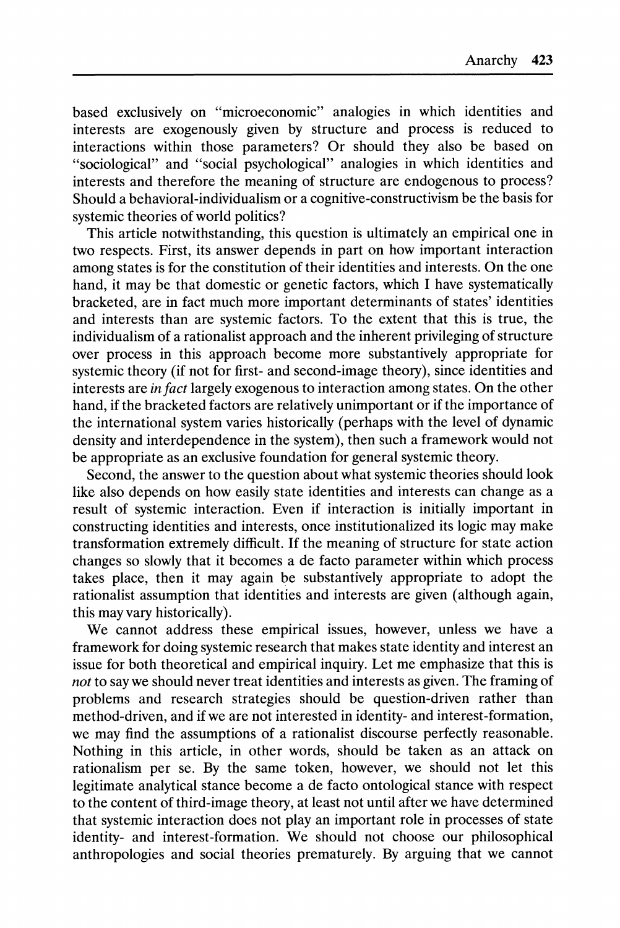based exclusively on "microeconomic" analogies in which identities and interests are exogenously given by structure and process is reduced to interactions within those parameters? Or should they also be based on "sociological" and "social psychological" analogies in which identities and interests and therefore the meaning of structure are endogenous to process? Should a behavioral-individualism or a cognitive-constructivism be the basis for systemic theories of world politics?

This article notwithstanding, this question is ultimately an empirical one in two respects. First, its answer depends in part on how important interaction among states is for the constitution of their identities and interests. On the one hand, it may be that domestic or genetic factors, which I have systematically bracketed, are in fact much more important determinants of states' identities and interests than are systemic factors. To the extent that this is true, the individualism of a rationalist approach and the inherent privileging of structure over process in this approach become more substantively appropriate for systemic theory (if not for first- and second-image theory), since identities and interests are in fact largely exogenous to interaction among states. On the other hand, if the bracketed factors are relatively unimportant or if the importance of the international system varies historically (perhaps with the level of dynamic density and interdependence in the system), then such a framework would not be appropriate as an exclusive foundation for general systemic theory.

Second, the answer to the question about what systemic theories should look like also depends on how easily state identities and interests can change as a result of systemic interaction. Even if interaction is initially important in constructing identities and interests, once institutionalized its logic may make transformation extremely difficult. If the meaning of structure for state action changes so slowly that it becomes a de facto parameter within which process takes place, then it may again be substantively appropriate to adopt the rationalist assumption that identities and interests are given (although again, this may vary historically).

We cannot address these empirical issues, however, unless we have a framework for doing systemic research that makes state identity and interest an issue for both theoretical and empirical inquiry. Let me emphasize that this is not to say we should never treat identities and interests as given. The framing of problems and research strategies should be question-driven rather than method-driven, and if we are not interested in identity- and interest-formation, we may find the assumptions of a rationalist discourse perfectly reasonable. Nothing in this article, in other words, should be taken as an attack on rationalism per se. By the same token, however, we should not let this legitimate analytical stance become a de facto ontological stance with respect to the content of third-image theory, at least not until after we have determined that systemic interaction does not play an important role in processes of state identity- and interest-formation. We should not choose our philosophical anthropologies and social theories prematurely. By arguing that we cannot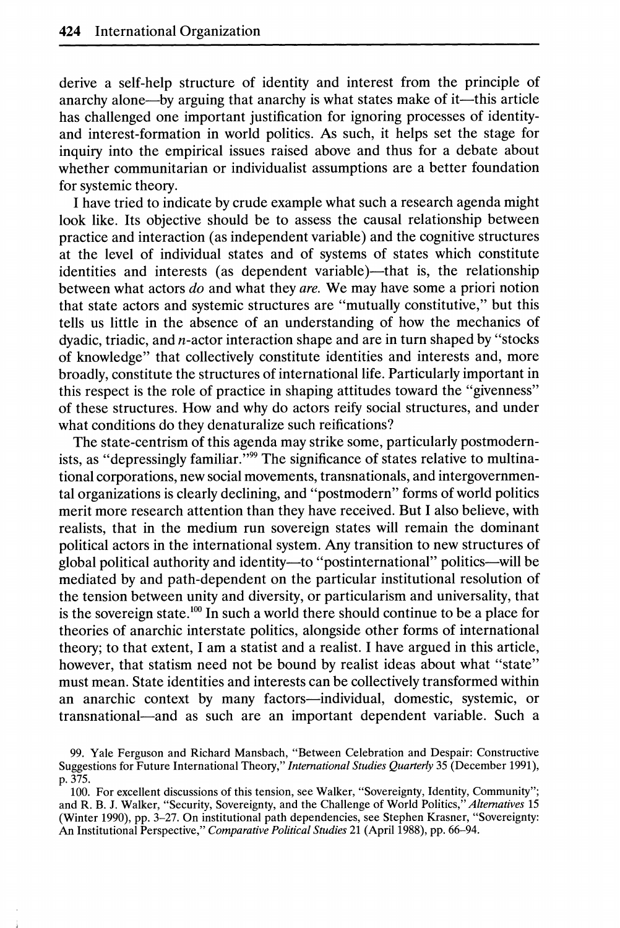derive a self-help structure of identity and interest from the principle of anarchy alone—by arguing that anarchy is what states make of it—this article has challenged one important justification for ignoring processes of identityand interest-formation in world politics. As such, it helps set the stage for inquiry into the empirical issues raised above and thus for a debate about whether communitarian or individualist assumptions are a better foundation for systemic theory.

I have tried to indicate by crude example what such a research agenda might look like. Its objective should be to assess the causal relationship between practice and interaction (as independent variable) and the cognitive structures at the level of individual states and of systems of states which constitute identities and interests (as dependent variable)—that is, the relationship between what actors do and what they are. We may have some a priori notion that state actors and systemic structures are "mutually constitutive," but this tells us little in the absence of an understanding of how the mechanics of dvadic, triadic, and  $n$ -actor interaction shape and are in turn shaped by "stocks" of knowledge" that collectively constitute identities and interests and, more broadly, constitute the structures of international life. Particularly important in this respect is the role of practice in shaping attitudes toward the "givenness" of these structures. How and why do actors reify social structures, and under what conditions do they denaturalize such reifications?

The state-centrism of this agenda may strike some, particularly postmodernists, as "depressingly familiar."<sup>99</sup> The significance of states relative to multinational corporations, new social movements, transnationals, and intergovernmental organizations is clearly declining, and "postmodern" forms of world politics merit more research attention than they have received. But I also believe, with realists, that in the medium run sovereign states will remain the dominant political actors in the international system. Any transition to new structures of global political authority and identity—to "postinternational" politics—will be mediated by and path-dependent on the particular institutional resolution of the tension between unity and diversity, or particularism and universality, that is the sovereign state.<sup>100</sup> In such a world there should continue to be a place for theories of anarchic interstate politics, alongside other forms of international theory; to that extent, I am a statist and a realist. I have argued in this article, however, that statism need not be bound by realist ideas about what "state" must mean. State identities and interests can be collectively transformed within an anarchic context by many factors-individual, domestic, systemic, or transnational—and as such are an important dependent variable. Such a

<sup>99.</sup> Yale Ferguson and Richard Mansbach, "Between Celebration and Despair: Constructive Suggestions for Future International Theory," International Studies Quarterly 35 (December 1991), p. 375.

<sup>100.</sup> For excellent discussions of this tension, see Walker, "Sovereignty, Identity, Community"; and R. B. J. Walker, "Security, Sovereignty, and the Challenge of World Politics," Alternatives 15 (Winter 1990), pp. 3-27. On institutional path dependencies, see Stephen Krasner, "Sovereignty: An Institutional Perspective," Comparative Political Studies 21 (April 1988), pp. 66–94.